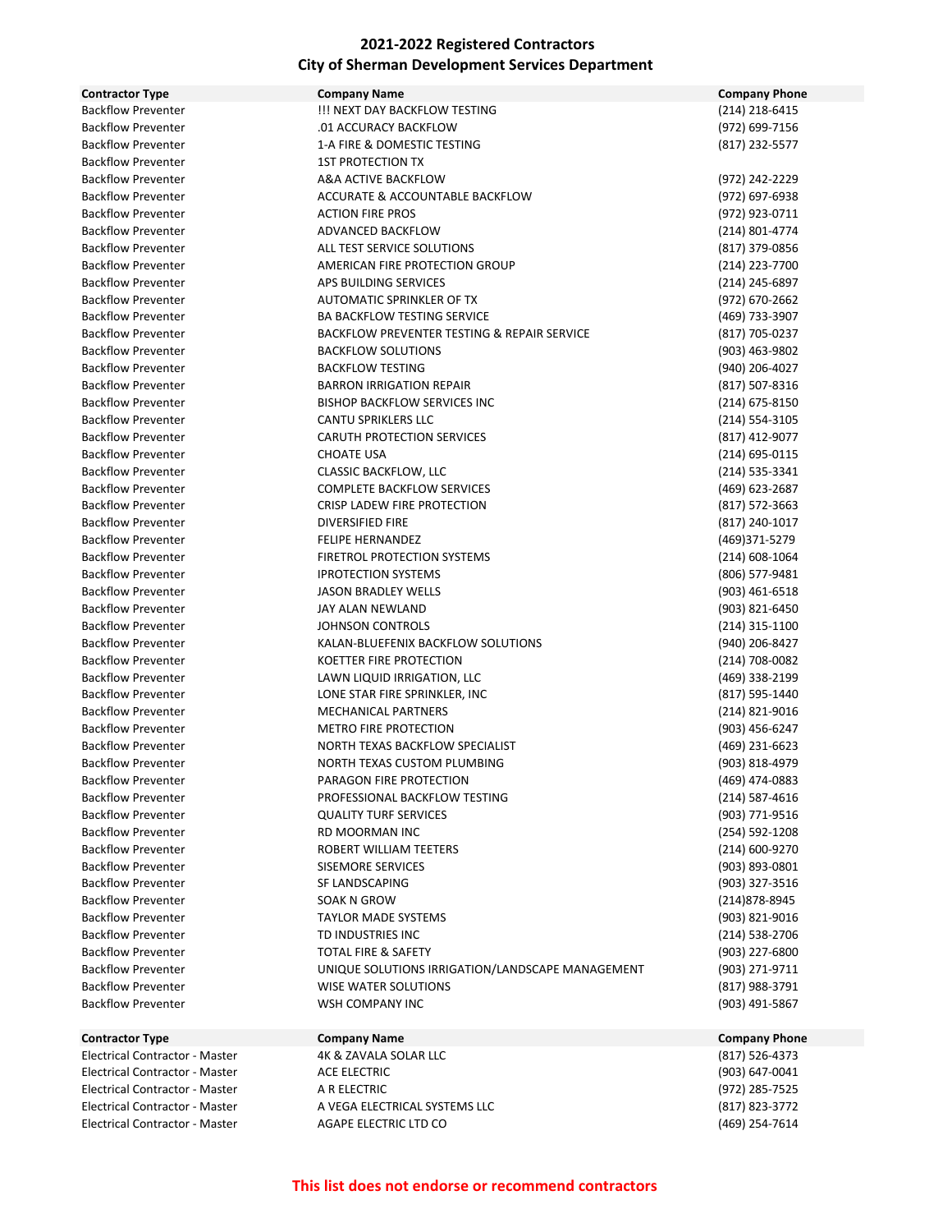| <b>Contractor Type</b>                | <b>Company Name</b>                              | <b>Company Phone</b> |
|---------------------------------------|--------------------------------------------------|----------------------|
| <b>Backflow Preventer</b>             | !!! NEXT DAY BACKFLOW TESTING                    | (214) 218-6415       |
| <b>Backflow Preventer</b>             | .01 ACCURACY BACKFLOW                            | (972) 699-7156       |
| <b>Backflow Preventer</b>             | 1-A FIRE & DOMESTIC TESTING                      | (817) 232-5577       |
| <b>Backflow Preventer</b>             | <b>1ST PROTECTION TX</b>                         |                      |
| <b>Backflow Preventer</b>             | A&A ACTIVE BACKFLOW                              | (972) 242-2229       |
| <b>Backflow Preventer</b>             | ACCURATE & ACCOUNTABLE BACKFLOW                  | (972) 697-6938       |
| <b>Backflow Preventer</b>             | <b>ACTION FIRE PROS</b>                          | (972) 923-0711       |
| <b>Backflow Preventer</b>             | ADVANCED BACKFLOW                                | (214) 801-4774       |
| <b>Backflow Preventer</b>             | ALL TEST SERVICE SOLUTIONS                       | (817) 379-0856       |
| <b>Backflow Preventer</b>             | AMERICAN FIRE PROTECTION GROUP                   | (214) 223-7700       |
| <b>Backflow Preventer</b>             | APS BUILDING SERVICES                            | (214) 245-6897       |
| <b>Backflow Preventer</b>             | AUTOMATIC SPRINKLER OF TX                        | (972) 670-2662       |
| <b>Backflow Preventer</b>             | <b>BA BACKFLOW TESTING SERVICE</b>               | (469) 733-3907       |
| <b>Backflow Preventer</b>             | BACKFLOW PREVENTER TESTING & REPAIR SERVICE      | (817) 705-0237       |
| <b>Backflow Preventer</b>             | <b>BACKFLOW SOLUTIONS</b>                        | (903) 463-9802       |
| <b>Backflow Preventer</b>             | <b>BACKFLOW TESTING</b>                          | (940) 206-4027       |
| <b>Backflow Preventer</b>             | <b>BARRON IRRIGATION REPAIR</b>                  | (817) 507-8316       |
| <b>Backflow Preventer</b>             | <b>BISHOP BACKFLOW SERVICES INC</b>              | (214) 675-8150       |
| <b>Backflow Preventer</b>             | CANTU SPRIKLERS LLC                              | (214) 554-3105       |
| <b>Backflow Preventer</b>             | <b>CARUTH PROTECTION SERVICES</b>                | (817) 412-9077       |
| <b>Backflow Preventer</b>             | <b>CHOATE USA</b>                                | (214) 695-0115       |
| <b>Backflow Preventer</b>             | <b>CLASSIC BACKFLOW, LLC</b>                     | (214) 535-3341       |
| <b>Backflow Preventer</b>             | <b>COMPLETE BACKFLOW SERVICES</b>                | (469) 623-2687       |
| <b>Backflow Preventer</b>             | CRISP LADEW FIRE PROTECTION                      | (817) 572-3663       |
| <b>Backflow Preventer</b>             | <b>DIVERSIFIED FIRE</b>                          | (817) 240-1017       |
| <b>Backflow Preventer</b>             | <b>FELIPE HERNANDEZ</b>                          | (469)371-5279        |
| <b>Backflow Preventer</b>             | FIRETROL PROTECTION SYSTEMS                      | (214) 608-1064       |
| <b>Backflow Preventer</b>             | <b>IPROTECTION SYSTEMS</b>                       | (806) 577-9481       |
| <b>Backflow Preventer</b>             | <b>JASON BRADLEY WELLS</b>                       | (903) 461-6518       |
| <b>Backflow Preventer</b>             | JAY ALAN NEWLAND                                 | (903) 821-6450       |
| <b>Backflow Preventer</b>             | <b>JOHNSON CONTROLS</b>                          | (214) 315-1100       |
| <b>Backflow Preventer</b>             | KALAN-BLUEFENIX BACKFLOW SOLUTIONS               | (940) 206-8427       |
| <b>Backflow Preventer</b>             | KOETTER FIRE PROTECTION                          | (214) 708-0082       |
| <b>Backflow Preventer</b>             | LAWN LIQUID IRRIGATION, LLC                      | (469) 338-2199       |
| <b>Backflow Preventer</b>             | LONE STAR FIRE SPRINKLER, INC                    | (817) 595-1440       |
| <b>Backflow Preventer</b>             | <b>MECHANICAL PARTNERS</b>                       | (214) 821-9016       |
| <b>Backflow Preventer</b>             | <b>METRO FIRE PROTECTION</b>                     | (903) 456-6247       |
| <b>Backflow Preventer</b>             | NORTH TEXAS BACKFLOW SPECIALIST                  | (469) 231-6623       |
| <b>Backflow Preventer</b>             | NORTH TEXAS CUSTOM PLUMBING                      | (903) 818-4979       |
| <b>Backflow Preventer</b>             | PARAGON FIRE PROTECTION                          | (469) 474-0883       |
| <b>Backflow Preventer</b>             | PROFESSIONAL BACKFLOW TESTING                    | $(214) 587 - 4616$   |
| <b>Backflow Preventer</b>             | <b>QUALITY TURF SERVICES</b>                     | (903) 771-9516       |
| <b>Backflow Preventer</b>             | RD MOORMAN INC                                   | (254) 592-1208       |
| <b>Backflow Preventer</b>             | ROBERT WILLIAM TEETERS                           | (214) 600-9270       |
| <b>Backflow Preventer</b>             | <b>SISEMORE SERVICES</b>                         | (903) 893-0801       |
| <b>Backflow Preventer</b>             | SF LANDSCAPING                                   | (903) 327-3516       |
| <b>Backflow Preventer</b>             | SOAK N GROW                                      | (214)878-8945        |
| <b>Backflow Preventer</b>             | <b>TAYLOR MADE SYSTEMS</b>                       | (903) 821-9016       |
| <b>Backflow Preventer</b>             | TD INDUSTRIES INC                                | (214) 538-2706       |
| <b>Backflow Preventer</b>             | TOTAL FIRE & SAFETY                              | (903) 227-6800       |
| <b>Backflow Preventer</b>             | UNIQUE SOLUTIONS IRRIGATION/LANDSCAPE MANAGEMENT | (903) 271-9711       |
| <b>Backflow Preventer</b>             | <b>WISE WATER SOLUTIONS</b>                      | (817) 988-3791       |
| <b>Backflow Preventer</b>             | WSH COMPANY INC                                  | (903) 491-5867       |
|                                       |                                                  |                      |
| <b>Contractor Type</b>                | <b>Company Name</b>                              | <b>Company Phone</b> |
| Electrical Contractor - Master        | 4K & ZAVALA SOLAR LLC                            | (817) 526-4373       |
| <b>Electrical Contractor - Master</b> | <b>ACE ELECTRIC</b>                              | (903) 647-0041       |
| Electrical Contractor - Master        | A R ELECTRIC                                     | (972) 285-7525       |

Electrical Contractor - Master A VEGA ELECTRICAL SYSTEMS LLC (817) 823-3772 Electrical Contractor - Master AGAPE ELECTRIC LTD CO (469) 254-7614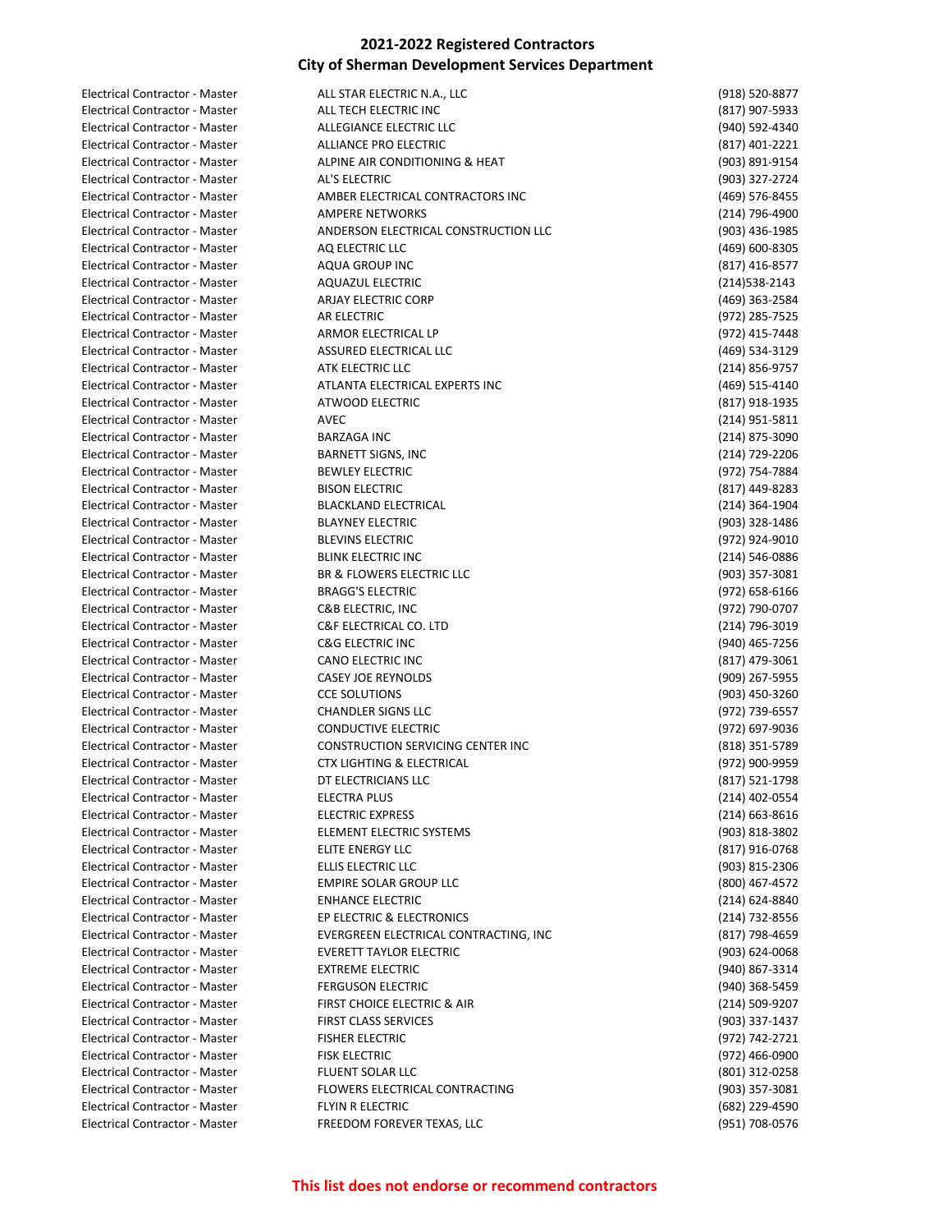| Electrical Contractor - Master        | ALL STAR ELECTRIC N.A., LLC              | (918) 520-8877   |
|---------------------------------------|------------------------------------------|------------------|
| Electrical Contractor - Master        | ALL TECH ELECTRIC INC                    | (817) 907-5933   |
| Electrical Contractor - Master        | ALLEGIANCE ELECTRIC LLC                  | (940) 592-4340   |
| Electrical Contractor - Master        | ALLIANCE PRO ELECTRIC                    | (817) 401-2221   |
| Electrical Contractor - Master        | ALPINE AIR CONDITIONING & HEAT           | (903) 891-9154   |
| Electrical Contractor - Master        | AL'S ELECTRIC                            | (903) 327-2724   |
| Electrical Contractor - Master        | AMBER ELECTRICAL CONTRACTORS INC         | (469) 576-8455   |
| Electrical Contractor - Master        | <b>AMPERE NETWORKS</b>                   | (214) 796-4900   |
| Electrical Contractor - Master        | ANDERSON ELECTRICAL CONSTRUCTION LLC     | (903) 436-1985   |
| Electrical Contractor - Master        | AQ ELECTRIC LLC                          | (469) 600-8305   |
| Electrical Contractor - Master        | <b>AQUA GROUP INC</b>                    | (817) 416-8577   |
| <b>Electrical Contractor - Master</b> | <b>AQUAZUL ELECTRIC</b>                  | (214) 538-2143   |
| Electrical Contractor - Master        | <b>ARJAY ELECTRIC CORP</b>               | (469) 363-2584   |
| Electrical Contractor - Master        | AR ELECTRIC                              | (972) 285-7525   |
| Electrical Contractor - Master        | ARMOR ELECTRICAL LP                      | (972) 415-7448   |
| Electrical Contractor - Master        | ASSURED ELECTRICAL LLC                   | (469) 534-3129   |
| Electrical Contractor - Master        | ATK ELECTRIC LLC                         | (214) 856-9757   |
|                                       |                                          |                  |
| Electrical Contractor - Master        | ATLANTA ELECTRICAL EXPERTS INC           | (469) 515-4140   |
| <b>Electrical Contractor - Master</b> | ATWOOD ELECTRIC                          | (817) 918-1935   |
| Electrical Contractor - Master        | <b>AVEC</b>                              | (214) 951-5811   |
| Electrical Contractor - Master        | <b>BARZAGA INC</b>                       | (214) 875-3090   |
| Electrical Contractor - Master        | <b>BARNETT SIGNS, INC</b>                | (214) 729-2206   |
| Electrical Contractor - Master        | <b>BEWLEY ELECTRIC</b>                   | (972) 754-7884   |
| Electrical Contractor - Master        | <b>BISON ELECTRIC</b>                    | (817) 449-8283   |
| Electrical Contractor - Master        | <b>BLACKLAND ELECTRICAL</b>              | (214) 364-1904   |
| Electrical Contractor - Master        | <b>BLAYNEY ELECTRIC</b>                  | (903) 328-1486   |
| <b>Electrical Contractor - Master</b> | <b>BLEVINS ELECTRIC</b>                  | (972) 924-9010   |
| Electrical Contractor - Master        | <b>BLINK ELECTRIC INC</b>                | (214) 546-0886   |
| Electrical Contractor - Master        | BR & FLOWERS ELECTRIC LLC                | (903) 357-3081   |
| Electrical Contractor - Master        | <b>BRAGG'S ELECTRIC</b>                  | (972) 658-6166   |
| Electrical Contractor - Master        | C&B ELECTRIC, INC                        | (972) 790-0707   |
| Electrical Contractor - Master        | C&F ELECTRICAL CO. LTD                   | (214) 796-3019   |
| Electrical Contractor - Master        | <b>C&amp;G ELECTRIC INC</b>              | (940) 465-7256   |
| Electrical Contractor - Master        | CANO ELECTRIC INC                        | (817) 479-3061   |
| Electrical Contractor - Master        | <b>CASEY JOE REYNOLDS</b>                | (909) 267-5955   |
| Electrical Contractor - Master        | <b>CCE SOLUTIONS</b>                     | (903) 450-3260   |
| Electrical Contractor - Master        | <b>CHANDLER SIGNS LLC</b>                | (972) 739-6557   |
| Electrical Contractor - Master        | <b>CONDUCTIVE ELECTRIC</b>               | (972) 697-9036   |
| Electrical Contractor - Master        | <b>CONSTRUCTION SERVICING CENTER INC</b> | (818) 351-5789   |
| <b>Electrical Contractor - Master</b> | <b>CTX LIGHTING &amp; ELECTRICAL</b>     | (972) 900-9959   |
| Electrical Contractor - Master        | DT ELECTRICIANS LLC                      | (817) 521-1798   |
| Electrical Contractor - Master        | <b>ELECTRA PLUS</b>                      | (214) 402-0554   |
| Electrical Contractor - Master        | <b>ELECTRIC EXPRESS</b>                  | $(214)$ 663-8616 |
| Electrical Contractor - Master        | ELEMENT ELECTRIC SYSTEMS                 | (903) 818-3802   |
| Electrical Contractor - Master        | ELITE ENERGY LLC                         | (817) 916-0768   |
| Electrical Contractor - Master        | ELLIS ELECTRIC LLC                       | (903) 815-2306   |
| Electrical Contractor - Master        | EMPIRE SOLAR GROUP LLC                   | (800) 467-4572   |
| Electrical Contractor - Master        | <b>ENHANCE ELECTRIC</b>                  | (214) 624-8840   |
| Electrical Contractor - Master        | EP ELECTRIC & ELECTRONICS                | (214) 732-8556   |
| Electrical Contractor - Master        | EVERGREEN ELECTRICAL CONTRACTING, INC    | (817) 798-4659   |
| Electrical Contractor - Master        | <b>EVERETT TAYLOR ELECTRIC</b>           | (903) 624-0068   |
| Electrical Contractor - Master        | <b>EXTREME ELECTRIC</b>                  |                  |
| Electrical Contractor - Master        |                                          | (940) 867-3314   |
|                                       | <b>FERGUSON ELECTRIC</b>                 | (940) 368-5459   |
| Electrical Contractor - Master        | FIRST CHOICE ELECTRIC & AIR              | (214) 509-9207   |
| Electrical Contractor - Master        | <b>FIRST CLASS SERVICES</b>              | (903) 337-1437   |
| Electrical Contractor - Master        | <b>FISHER ELECTRIC</b>                   | (972) 742-2721   |
| Electrical Contractor - Master        | <b>FISK ELECTRIC</b>                     | (972) 466-0900   |
| Electrical Contractor - Master        | <b>FLUENT SOLAR LLC</b>                  | (801) 312-0258   |
| Electrical Contractor - Master        | FLOWERS ELECTRICAL CONTRACTING           | (903) 357-3081   |
| Electrical Contractor - Master        | FLYIN R ELECTRIC                         | (682) 229-4590   |
| Electrical Contractor - Master        | FREEDOM FOREVER TEXAS, LLC               | (951) 708-0576   |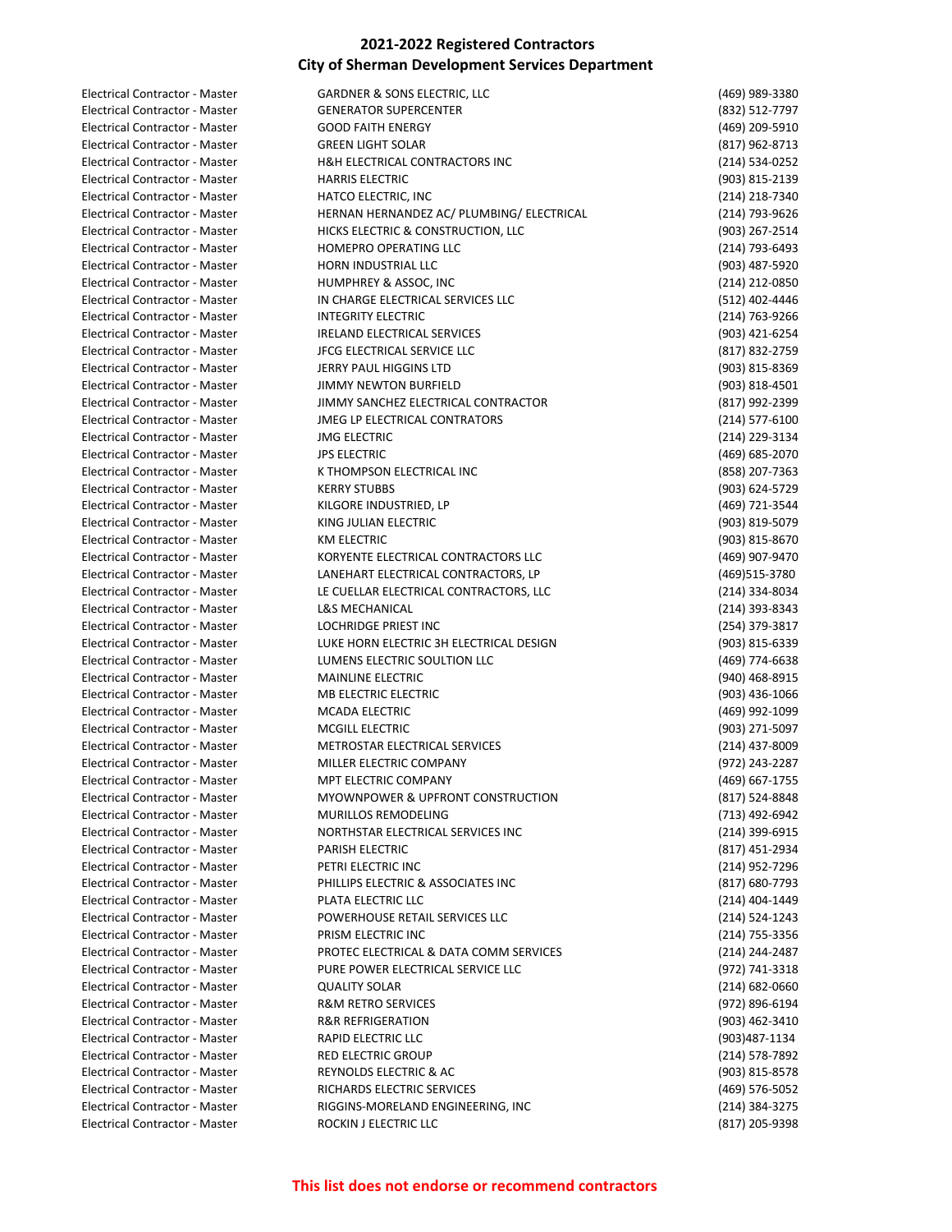| Electrical Contractor - Master        | <b>GARDNER &amp; SONS ELECTRIC, LLC</b>   | (469) 989-3380     |
|---------------------------------------|-------------------------------------------|--------------------|
| Electrical Contractor - Master        | <b>GENERATOR SUPERCENTER</b>              | (832) 512-7797     |
| Electrical Contractor - Master        | <b>GOOD FAITH ENERGY</b>                  | (469) 209-5910     |
| Electrical Contractor - Master        | <b>GREEN LIGHT SOLAR</b>                  | (817) 962-8713     |
| Electrical Contractor - Master        | H&H ELECTRICAL CONTRACTORS INC            | (214) 534-0252     |
| Electrical Contractor - Master        | <b>HARRIS ELECTRIC</b>                    | (903) 815-2139     |
| <b>Electrical Contractor - Master</b> | HATCO ELECTRIC, INC                       | (214) 218-7340     |
| Electrical Contractor - Master        | HERNAN HERNANDEZ AC/ PLUMBING/ ELECTRICAL | (214) 793-9626     |
| Electrical Contractor - Master        | HICKS ELECTRIC & CONSTRUCTION, LLC        | (903) 267-2514     |
| <b>Electrical Contractor - Master</b> | <b>HOMEPRO OPERATING LLC</b>              | (214) 793-6493     |
| Electrical Contractor - Master        | HORN INDUSTRIAL LLC                       | (903) 487-5920     |
| Electrical Contractor - Master        | HUMPHREY & ASSOC, INC                     | (214) 212-0850     |
| Electrical Contractor - Master        | IN CHARGE ELECTRICAL SERVICES LLC         | (512) 402-4446     |
| Electrical Contractor - Master        | <b>INTEGRITY ELECTRIC</b>                 | (214) 763-9266     |
| Electrical Contractor - Master        | IRELAND ELECTRICAL SERVICES               | (903) 421-6254     |
| Electrical Contractor - Master        | JFCG ELECTRICAL SERVICE LLC               | (817) 832-2759     |
| Electrical Contractor - Master        | <b>JERRY PAUL HIGGINS LTD</b>             |                    |
|                                       |                                           | (903) 815-8369     |
| Electrical Contractor - Master        | JIMMY NEWTON BURFIELD                     | (903) 818-4501     |
| Electrical Contractor - Master        | JIMMY SANCHEZ ELECTRICAL CONTRACTOR       | (817) 992-2399     |
| Electrical Contractor - Master        | <b>JMEG LP ELECTRICAL CONTRATORS</b>      | (214) 577-6100     |
| Electrical Contractor - Master        | <b>JMG ELECTRIC</b>                       | (214) 229-3134     |
| <b>Electrical Contractor - Master</b> | <b>JPS ELECTRIC</b>                       | (469) 685-2070     |
| Electrical Contractor - Master        | K THOMPSON ELECTRICAL INC                 | (858) 207-7363     |
| Electrical Contractor - Master        | <b>KERRY STUBBS</b>                       | (903) 624-5729     |
| Electrical Contractor - Master        | KILGORE INDUSTRIED, LP                    | (469) 721-3544     |
| Electrical Contractor - Master        | KING JULIAN ELECTRIC                      | (903) 819-5079     |
| Electrical Contractor - Master        | KM ELECTRIC                               | (903) 815-8670     |
| Electrical Contractor - Master        | KORYENTE ELECTRICAL CONTRACTORS LLC       | (469) 907-9470     |
| Electrical Contractor - Master        | LANEHART ELECTRICAL CONTRACTORS, LP       | (469)515-3780      |
| Electrical Contractor - Master        | LE CUELLAR ELECTRICAL CONTRACTORS, LLC    | (214) 334-8034     |
| Electrical Contractor - Master        | <b>L&amp;S MECHANICAL</b>                 | (214) 393-8343     |
| Electrical Contractor - Master        | <b>LOCHRIDGE PRIEST INC</b>               | (254) 379-3817     |
| Electrical Contractor - Master        | LUKE HORN ELECTRIC 3H ELECTRICAL DESIGN   | (903) 815-6339     |
| Electrical Contractor - Master        | LUMENS ELECTRIC SOULTION LLC              | (469) 774-6638     |
| Electrical Contractor - Master        | <b>MAINLINE ELECTRIC</b>                  | (940) 468-8915     |
| Electrical Contractor - Master        | MB ELECTRIC ELECTRIC                      | (903) 436-1066     |
| <b>Electrical Contractor - Master</b> | MCADA ELECTRIC                            | (469) 992-1099     |
| <b>Electrical Contractor - Master</b> | <b>MCGILL ELECTRIC</b>                    | (903) 271-5097     |
| Electrical Contractor - Master        | METROSTAR ELECTRICAL SERVICES             | (214) 437-8009     |
| Electrical Contractor - Master        | MILLER ELECTRIC COMPANY                   | (972) 243-2287     |
| Electrical Contractor - Master        | MPT ELECTRIC COMPANY                      | (469) 667-1755     |
|                                       |                                           |                    |
| Electrical Contractor - Master        | MYOWNPOWER & UPFRONT CONSTRUCTION         | (817) 524-8848     |
| <b>Electrical Contractor - Master</b> | MURILLOS REMODELING                       | (713) 492-6942     |
| Electrical Contractor - Master        | NORTHSTAR ELECTRICAL SERVICES INC         | (214) 399-6915     |
| <b>Electrical Contractor - Master</b> | PARISH ELECTRIC                           | (817) 451-2934     |
| Electrical Contractor - Master        | PETRI ELECTRIC INC                        | (214) 952-7296     |
| <b>Electrical Contractor - Master</b> | PHILLIPS ELECTRIC & ASSOCIATES INC        | (817) 680-7793     |
| Electrical Contractor - Master        | PLATA ELECTRIC LLC                        | (214) 404-1449     |
| Electrical Contractor - Master        | POWERHOUSE RETAIL SERVICES LLC            | (214) 524-1243     |
| Electrical Contractor - Master        | PRISM ELECTRIC INC                        | (214) 755-3356     |
| <b>Electrical Contractor - Master</b> | PROTEC ELECTRICAL & DATA COMM SERVICES    | (214) 244-2487     |
| Electrical Contractor - Master        | PURE POWER ELECTRICAL SERVICE LLC         | (972) 741-3318     |
| Electrical Contractor - Master        | <b>QUALITY SOLAR</b>                      | $(214) 682 - 0660$ |
| Electrical Contractor - Master        | <b>R&amp;M RETRO SERVICES</b>             | (972) 896-6194     |
| Electrical Contractor - Master        | <b>R&amp;R REFRIGERATION</b>              | (903) 462-3410     |
| Electrical Contractor - Master        | RAPID ELECTRIC LLC                        | (903)487-1134      |
| Electrical Contractor - Master        | RED ELECTRIC GROUP                        | (214) 578-7892     |
| Electrical Contractor - Master        | REYNOLDS ELECTRIC & AC                    | (903) 815-8578     |
| Electrical Contractor - Master        | RICHARDS ELECTRIC SERVICES                | (469) 576-5052     |
| Electrical Contractor - Master        | RIGGINS-MORELAND ENGINEERING, INC         | (214) 384-3275     |
| Electrical Contractor - Master        | ROCKIN J ELECTRIC LLC                     | (817) 205-9398     |
|                                       |                                           |                    |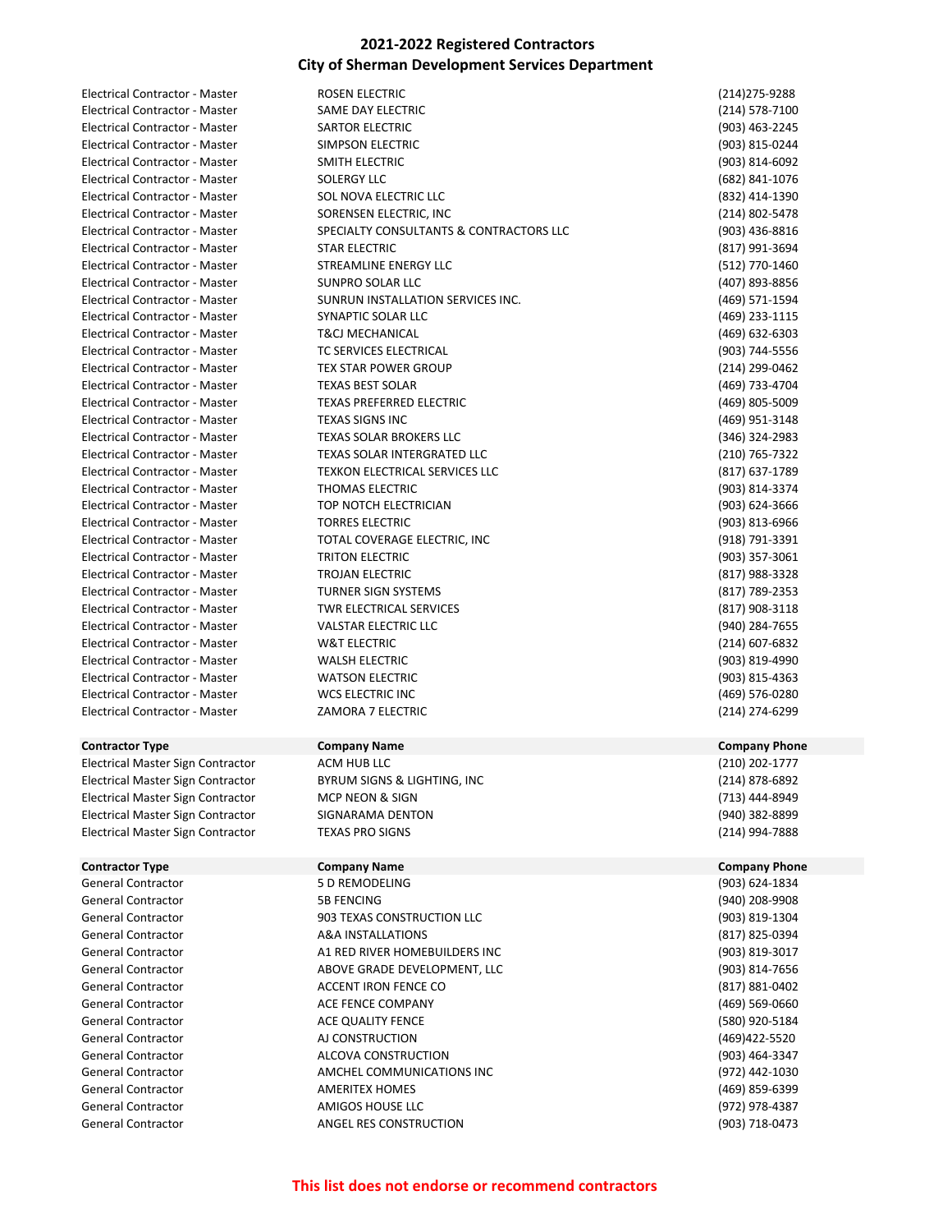| Electrical Contractor - Master        | <b>ROSEN ELECTRIC</b>                   | (214) 275-9288       |
|---------------------------------------|-----------------------------------------|----------------------|
| Electrical Contractor - Master        | SAME DAY ELECTRIC                       | (214) 578-7100       |
| Electrical Contractor - Master        | SARTOR ELECTRIC                         | (903) 463-2245       |
| Electrical Contractor - Master        | SIMPSON ELECTRIC                        | (903) 815-0244       |
| Electrical Contractor - Master        | SMITH ELECTRIC                          | (903) 814-6092       |
| Electrical Contractor - Master        | <b>SOLERGY LLC</b>                      | (682) 841-1076       |
| <b>Electrical Contractor - Master</b> | SOL NOVA ELECTRIC LLC                   | (832) 414-1390       |
| Electrical Contractor - Master        | SORENSEN ELECTRIC, INC                  | (214) 802-5478       |
| Electrical Contractor - Master        | SPECIALTY CONSULTANTS & CONTRACTORS LLC | (903) 436-8816       |
| <b>Electrical Contractor - Master</b> | <b>STAR ELECTRIC</b>                    | (817) 991-3694       |
| <b>Electrical Contractor - Master</b> | <b>STREAMLINE ENERGY LLC</b>            | (512) 770-1460       |
| Electrical Contractor - Master        | SUNPRO SOLAR LLC                        | (407) 893-8856       |
| Electrical Contractor - Master        | SUNRUN INSTALLATION SERVICES INC.       | (469) 571-1594       |
| Electrical Contractor - Master        | SYNAPTIC SOLAR LLC                      | (469) 233-1115       |
| Electrical Contractor - Master        | <b>T&amp;CJ MECHANICAL</b>              | (469) 632-6303       |
| Electrical Contractor - Master        | TC SERVICES ELECTRICAL                  | (903) 744-5556       |
| Electrical Contractor - Master        | <b>TEX STAR POWER GROUP</b>             | (214) 299-0462       |
| Electrical Contractor - Master        | <b>TEXAS BEST SOLAR</b>                 | (469) 733-4704       |
| <b>Electrical Contractor - Master</b> | <b>TEXAS PREFERRED ELECTRIC</b>         | (469) 805-5009       |
| Electrical Contractor - Master        | <b>TEXAS SIGNS INC</b>                  | (469) 951-3148       |
| Electrical Contractor - Master        | <b>TEXAS SOLAR BROKERS LLC</b>          | (346) 324-2983       |
| <b>Electrical Contractor - Master</b> | TEXAS SOLAR INTERGRATED LLC             | (210) 765-7322       |
| Electrical Contractor - Master        | TEXKON ELECTRICAL SERVICES LLC          | (817) 637-1789       |
| Electrical Contractor - Master        | THOMAS ELECTRIC                         | (903) 814-3374       |
| Electrical Contractor - Master        | TOP NOTCH ELECTRICIAN                   | (903) 624-3666       |
| Electrical Contractor - Master        | <b>TORRES ELECTRIC</b>                  | (903) 813-6966       |
| Electrical Contractor - Master        | TOTAL COVERAGE ELECTRIC, INC            | (918) 791-3391       |
| Electrical Contractor - Master        | <b>TRITON ELECTRIC</b>                  | (903) 357-3061       |
| Electrical Contractor - Master        | TROJAN ELECTRIC                         | (817) 988-3328       |
| Electrical Contractor - Master        | <b>TURNER SIGN SYSTEMS</b>              | (817) 789-2353       |
| Electrical Contractor - Master        | TWR ELECTRICAL SERVICES                 | (817) 908-3118       |
| Electrical Contractor - Master        | <b>VALSTAR ELECTRIC LLC</b>             | (940) 284-7655       |
| Electrical Contractor - Master        | <b>W&amp;T ELECTRIC</b>                 | (214) 607-6832       |
| Electrical Contractor - Master        | <b>WALSH ELECTRIC</b>                   | (903) 819-4990       |
| Electrical Contractor - Master        | <b>WATSON ELECTRIC</b>                  | (903) 815-4363       |
| Electrical Contractor - Master        | <b>WCS ELECTRIC INC</b>                 | (469) 576-0280       |
| Electrical Contractor - Master        | ZAMORA 7 ELECTRIC                       | (214) 274-6299       |
|                                       |                                         |                      |
| <b>Contractor Type</b>                | <b>Company Name</b>                     | <b>Company Phone</b> |
| Electrical Master Sign Contractor     | ACM HUB LLC                             | (210) 202-1777       |
| Electrical Master Sign Contractor     | BYRUM SIGNS & LIGHTING, INC             | (214) 878-6892       |
| Electrical Master Sign Contractor     | MCP NEON & SIGN                         | (713) 444-8949       |
| Electrical Master Sign Contractor     | SIGNARAMA DENTON                        | (940) 382-8899       |
| Electrical Master Sign Contractor     | <b>TEXAS PRO SIGNS</b>                  | (214) 994-7888       |
| <b>Contractor Type</b>                | <b>Company Name</b>                     | <b>Company Phone</b> |
| <b>General Contractor</b>             | 5 D REMODELING                          | (903) 624-1834       |
| General Contractor                    | <b>5B FENCING</b>                       | (940) 208-9908       |
| <b>General Contractor</b>             | 903 TEXAS CONSTRUCTION LLC              | (903) 819-1304       |
| General Contractor                    | A&A INSTALLATIONS                       | (817) 825-0394       |
| <b>General Contractor</b>             | A1 RED RIVER HOMEBUILDERS INC           | (903) 819-3017       |
| General Contractor                    | ABOVE GRADE DEVELOPMENT, LLC            | (903) 814-7656       |
| <b>General Contractor</b>             | ACCENT IRON FENCE CO                    | (817) 881-0402       |
| <b>General Contractor</b>             | ACE FENCE COMPANY                       | (469) 569-0660       |
| <b>General Contractor</b>             | ACE QUALITY FENCE                       | (580) 920-5184       |
| <b>General Contractor</b>             | AJ CONSTRUCTION                         | (469) 422-5520       |
| <b>General Contractor</b>             | ALCOVA CONSTRUCTION                     | (903) 464-3347       |
| <b>General Contractor</b>             |                                         |                      |
|                                       | AMCHEL COMMUNICATIONS INC               | (972) 442-1030       |

General Contractor AMIGOS HOUSE LLC (972) 978-4387 General Contractor **ANGEL RES CONSTRUCTION** 6903) 718-0473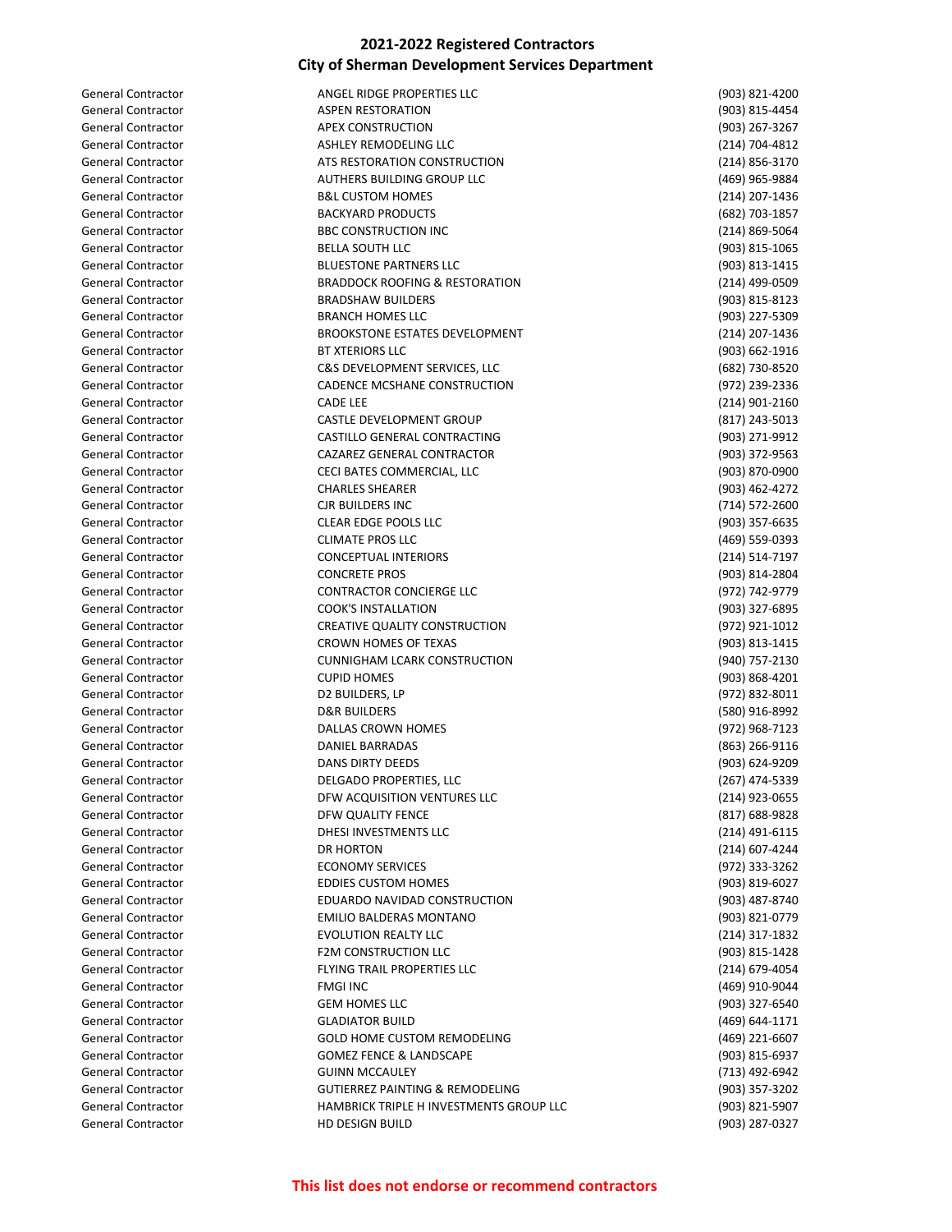| <b>General Contractor</b> | ANGEL RIDGE PROPERTIES LLC                 | (903) 821-4200                   |
|---------------------------|--------------------------------------------|----------------------------------|
| <b>General Contractor</b> | <b>ASPEN RESTORATION</b>                   | (903) 815-4454                   |
| <b>General Contractor</b> | <b>APEX CONSTRUCTION</b>                   | (903) 267-3267                   |
| <b>General Contractor</b> | ASHLEY REMODELING LLC                      | (214) 704-4812                   |
| <b>General Contractor</b> | ATS RESTORATION CONSTRUCTION               | (214) 856-3170                   |
| <b>General Contractor</b> | <b>AUTHERS BUILDING GROUP LLC</b>          | (469) 965-9884                   |
| <b>General Contractor</b> | <b>B&amp;L CUSTOM HOMES</b>                | (214) 207-1436                   |
| <b>General Contractor</b> | <b>BACKYARD PRODUCTS</b>                   | (682) 703-1857                   |
| <b>General Contractor</b> | <b>BBC CONSTRUCTION INC</b>                | (214) 869-5064                   |
| <b>General Contractor</b> | <b>BELLA SOUTH LLC</b>                     | (903) 815-1065                   |
| <b>General Contractor</b> | <b>BLUESTONE PARTNERS LLC</b>              | (903) 813-1415                   |
| <b>General Contractor</b> | <b>BRADDOCK ROOFING &amp; RESTORATION</b>  | (214) 499-0509                   |
| <b>General Contractor</b> | <b>BRADSHAW BUILDERS</b>                   | (903) 815-8123                   |
| <b>General Contractor</b> | <b>BRANCH HOMES LLC</b>                    | (903) 227-5309                   |
| <b>General Contractor</b> | <b>BROOKSTONE ESTATES DEVELOPMENT</b>      | (214) 207-1436                   |
| <b>General Contractor</b> | <b>BT XTERIORS LLC</b>                     | (903) 662-1916                   |
| <b>General Contractor</b> | C&S DEVELOPMENT SERVICES, LLC              | (682) 730-8520                   |
| <b>General Contractor</b> | CADENCE MCSHANE CONSTRUCTION               | (972) 239-2336                   |
| <b>General Contractor</b> | <b>CADE LEE</b>                            |                                  |
| <b>General Contractor</b> | CASTLE DEVELOPMENT GROUP                   | (214) 901-2160<br>(817) 243-5013 |
| <b>General Contractor</b> | CASTILLO GENERAL CONTRACTING               |                                  |
|                           |                                            | (903) 271-9912                   |
| <b>General Contractor</b> | CAZAREZ GENERAL CONTRACTOR                 | (903) 372-9563                   |
| <b>General Contractor</b> | CECI BATES COMMERCIAL, LLC                 | (903) 870-0900                   |
| <b>General Contractor</b> | <b>CHARLES SHEARER</b>                     | (903) 462-4272                   |
| <b>General Contractor</b> | <b>CJR BUILDERS INC</b>                    | (714) 572-2600                   |
| <b>General Contractor</b> | CLEAR EDGE POOLS LLC                       | (903) 357-6635                   |
| <b>General Contractor</b> | <b>CLIMATE PROS LLC</b>                    | (469) 559-0393                   |
| <b>General Contractor</b> | <b>CONCEPTUAL INTERIORS</b>                | (214) 514-7197                   |
| <b>General Contractor</b> | <b>CONCRETE PROS</b>                       | (903) 814-2804                   |
| <b>General Contractor</b> | CONTRACTOR CONCIERGE LLC                   | (972) 742-9779                   |
| <b>General Contractor</b> | <b>COOK'S INSTALLATION</b>                 | (903) 327-6895                   |
| <b>General Contractor</b> | CREATIVE QUALITY CONSTRUCTION              | (972) 921-1012                   |
| <b>General Contractor</b> | CROWN HOMES OF TEXAS                       | (903) 813-1415                   |
| <b>General Contractor</b> | <b>CUNNIGHAM LCARK CONSTRUCTION</b>        | (940) 757-2130                   |
| <b>General Contractor</b> | <b>CUPID HOMES</b>                         | (903) 868-4201                   |
| <b>General Contractor</b> | D2 BUILDERS, LP                            | (972) 832-8011                   |
| <b>General Contractor</b> | <b>D&amp;R BUILDERS</b>                    | (580) 916-8992                   |
| <b>General Contractor</b> | DALLAS CROWN HOMES                         | (972) 968-7123                   |
| <b>General Contractor</b> | DANIEL BARRADAS                            | (863) 266-9116                   |
| <b>General Contractor</b> | <b>DANS DIRTY DEEDS</b>                    | (903) 624-9209                   |
| General Contractor        | DELGADO PROPERTIES, LLC                    | (267) 474-5339                   |
| General Contractor        | DFW ACQUISITION VENTURES LLC               | (214) 923-0655                   |
| <b>General Contractor</b> | DFW QUALITY FENCE                          | $(817)$ 688-9828                 |
| <b>General Contractor</b> | DHESI INVESTMENTS LLC                      | $(214)$ 491-6115                 |
| <b>General Contractor</b> | <b>DR HORTON</b>                           | (214) 607-4244                   |
| <b>General Contractor</b> | <b>ECONOMY SERVICES</b>                    | (972) 333-3262                   |
| <b>General Contractor</b> | <b>EDDIES CUSTOM HOMES</b>                 | (903) 819-6027                   |
| <b>General Contractor</b> | EDUARDO NAVIDAD CONSTRUCTION               | (903) 487-8740                   |
| <b>General Contractor</b> | <b>EMILIO BALDERAS MONTANO</b>             | (903) 821-0779                   |
|                           |                                            |                                  |
| General Contractor        | <b>EVOLUTION REALTY LLC</b>                | (214) 317-1832                   |
| <b>General Contractor</b> | <b>F2M CONSTRUCTION LLC</b>                | (903) 815-1428                   |
| General Contractor        | FLYING TRAIL PROPERTIES LLC                | (214) 679-4054                   |
| <b>General Contractor</b> | <b>FMGI INC</b>                            | (469) 910-9044                   |
| General Contractor        | <b>GEM HOMES LLC</b>                       | (903) 327-6540                   |
| General Contractor        | <b>GLADIATOR BUILD</b>                     | (469) 644-1171                   |
| <b>General Contractor</b> | <b>GOLD HOME CUSTOM REMODELING</b>         | (469) 221-6607                   |
| <b>General Contractor</b> | <b>GOMEZ FENCE &amp; LANDSCAPE</b>         | (903) 815-6937                   |
| <b>General Contractor</b> | <b>GUINN MCCAULEY</b>                      | (713) 492-6942                   |
| <b>General Contractor</b> | <b>GUTIERREZ PAINTING &amp; REMODELING</b> | (903) 357-3202                   |
| General Contractor        | HAMBRICK TRIPLE H INVESTMENTS GROUP LLC    | (903) 821-5907                   |
| <b>General Contractor</b> | HD DESIGN BUILD                            | (903) 287-0327                   |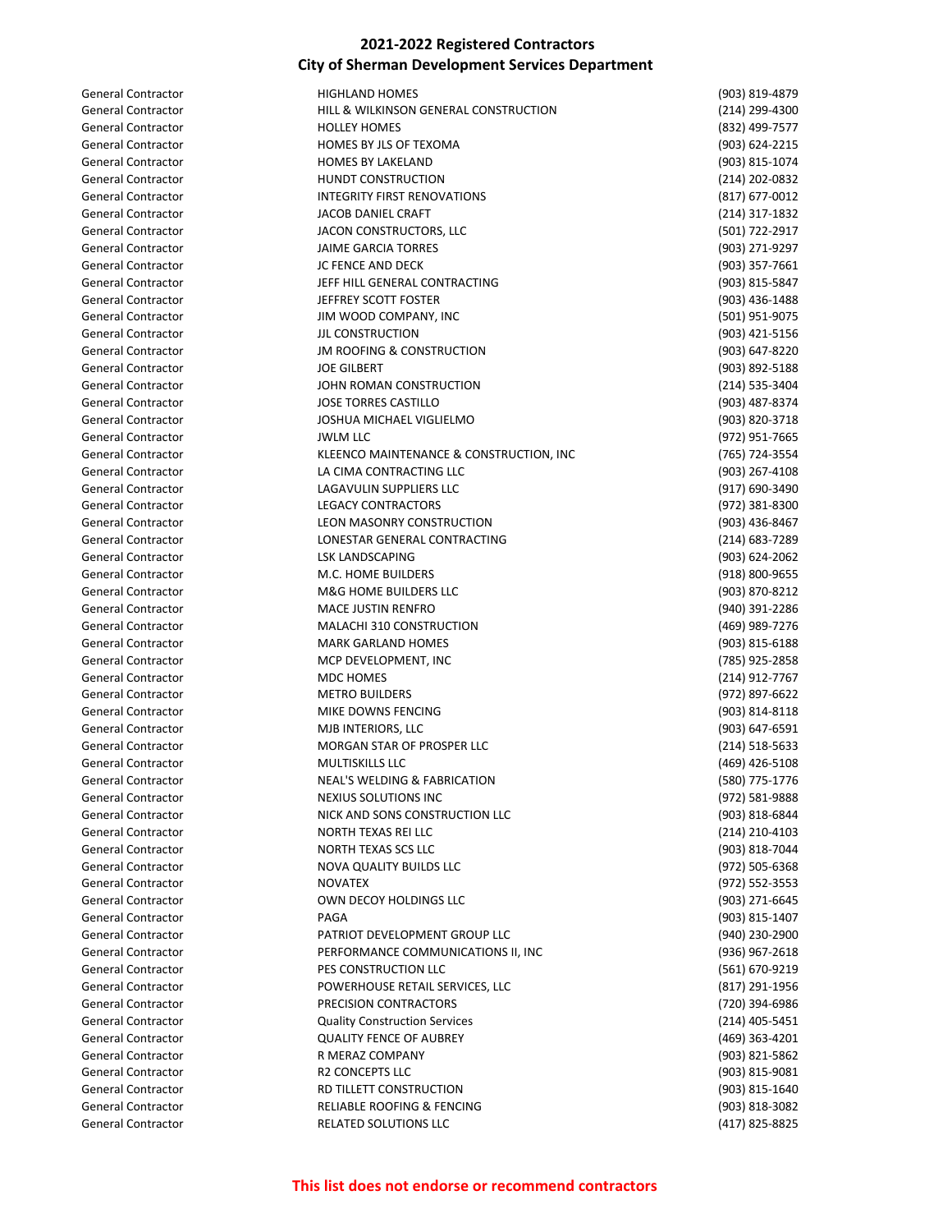| <b>General Contractor</b> | <b>HIGHLAND HOMES</b>                   | (903) 819-4879 |
|---------------------------|-----------------------------------------|----------------|
| <b>General Contractor</b> | HILL & WILKINSON GENERAL CONSTRUCTION   | (214) 299-4300 |
| <b>General Contractor</b> | <b>HOLLEY HOMES</b>                     | (832) 499-7577 |
| <b>General Contractor</b> | HOMES BY JLS OF TEXOMA                  | (903) 624-2215 |
| <b>General Contractor</b> | <b>HOMES BY LAKELAND</b>                | (903) 815-1074 |
| <b>General Contractor</b> | <b>HUNDT CONSTRUCTION</b>               | (214) 202-0832 |
| <b>General Contractor</b> | <b>INTEGRITY FIRST RENOVATIONS</b>      | (817) 677-0012 |
| <b>General Contractor</b> | JACOB DANIEL CRAFT                      | (214) 317-1832 |
| <b>General Contractor</b> | JACON CONSTRUCTORS, LLC                 | (501) 722-2917 |
| <b>General Contractor</b> | <b>JAIME GARCIA TORRES</b>              | (903) 271-9297 |
| <b>General Contractor</b> | JC FENCE AND DECK                       | (903) 357-7661 |
| <b>General Contractor</b> |                                         |                |
|                           | JEFF HILL GENERAL CONTRACTING           | (903) 815-5847 |
| <b>General Contractor</b> | JEFFREY SCOTT FOSTER                    | (903) 436-1488 |
| <b>General Contractor</b> | JIM WOOD COMPANY, INC                   | (501) 951-9075 |
| <b>General Contractor</b> | <b>JJL CONSTRUCTION</b>                 | (903) 421-5156 |
| <b>General Contractor</b> | <b>JM ROOFING &amp; CONSTRUCTION</b>    | (903) 647-8220 |
| <b>General Contractor</b> | <b>JOE GILBERT</b>                      | (903) 892-5188 |
| <b>General Contractor</b> | JOHN ROMAN CONSTRUCTION                 | (214) 535-3404 |
| <b>General Contractor</b> | <b>JOSE TORRES CASTILLO</b>             | (903) 487-8374 |
| <b>General Contractor</b> | <b>JOSHUA MICHAEL VIGLIELMO</b>         | (903) 820-3718 |
| <b>General Contractor</b> | <b>JWLM LLC</b>                         | (972) 951-7665 |
| <b>General Contractor</b> | KLEENCO MAINTENANCE & CONSTRUCTION, INC | (765) 724-3554 |
| <b>General Contractor</b> | LA CIMA CONTRACTING LLC                 | (903) 267-4108 |
| <b>General Contractor</b> | LAGAVULIN SUPPLIERS LLC                 | (917) 690-3490 |
| <b>General Contractor</b> | <b>LEGACY CONTRACTORS</b>               | (972) 381-8300 |
| <b>General Contractor</b> | LEON MASONRY CONSTRUCTION               | (903) 436-8467 |
| <b>General Contractor</b> | LONESTAR GENERAL CONTRACTING            |                |
|                           |                                         | (214) 683-7289 |
| <b>General Contractor</b> | <b>LSK LANDSCAPING</b>                  | (903) 624-2062 |
| <b>General Contractor</b> | M.C. HOME BUILDERS                      | (918) 800-9655 |
| <b>General Contractor</b> | M&G HOME BUILDERS LLC                   | (903) 870-8212 |
| <b>General Contractor</b> | <b>MACE JUSTIN RENFRO</b>               | (940) 391-2286 |
| <b>General Contractor</b> | MALACHI 310 CONSTRUCTION                | (469) 989-7276 |
| <b>General Contractor</b> | <b>MARK GARLAND HOMES</b>               | (903) 815-6188 |
| <b>General Contractor</b> | MCP DEVELOPMENT, INC                    | (785) 925-2858 |
| <b>General Contractor</b> | MDC HOMES                               | (214) 912-7767 |
| <b>General Contractor</b> | <b>METRO BUILDERS</b>                   | (972) 897-6622 |
| <b>General Contractor</b> | MIKE DOWNS FENCING                      | (903) 814-8118 |
| <b>General Contractor</b> | MJB INTERIORS, LLC                      | (903) 647-6591 |
| <b>General Contractor</b> | MORGAN STAR OF PROSPER LLC              | (214) 518-5633 |
| <b>General Contractor</b> | <b>MULTISKILLS LLC</b>                  | (469) 426-5108 |
| General Contractor        | <b>NEAL'S WELDING &amp; FABRICATION</b> | (580) 775-1776 |
| General Contractor        | NEXIUS SOLUTIONS INC                    | (972) 581-9888 |
| <b>General Contractor</b> | NICK AND SONS CONSTRUCTION LLC          | (903) 818-6844 |
|                           |                                         |                |
| <b>General Contractor</b> | NORTH TEXAS REI LLC                     | (214) 210-4103 |
| <b>General Contractor</b> | NORTH TEXAS SCS LLC                     | (903) 818-7044 |
| <b>General Contractor</b> | NOVA QUALITY BUILDS LLC                 | (972) 505-6368 |
| <b>General Contractor</b> | <b>NOVATEX</b>                          | (972) 552-3553 |
| General Contractor        | OWN DECOY HOLDINGS LLC                  | (903) 271-6645 |
| <b>General Contractor</b> | PAGA                                    | (903) 815-1407 |
| <b>General Contractor</b> | PATRIOT DEVELOPMENT GROUP LLC           | (940) 230-2900 |
| <b>General Contractor</b> | PERFORMANCE COMMUNICATIONS II, INC      | (936) 967-2618 |
| <b>General Contractor</b> | PES CONSTRUCTION LLC                    | (561) 670-9219 |
| <b>General Contractor</b> | POWERHOUSE RETAIL SERVICES, LLC         | (817) 291-1956 |
| General Contractor        | PRECISION CONTRACTORS                   | (720) 394-6986 |
| General Contractor        | <b>Quality Construction Services</b>    | (214) 405-5451 |
| <b>General Contractor</b> | <b>QUALITY FENCE OF AUBREY</b>          | (469) 363-4201 |
| <b>General Contractor</b> | R MERAZ COMPANY                         | (903) 821-5862 |
| <b>General Contractor</b> | <b>R2 CONCEPTS LLC</b>                  | (903) 815-9081 |
| <b>General Contractor</b> | RD TILLETT CONSTRUCTION                 | (903) 815-1640 |
|                           |                                         | (903) 818-3082 |
| <b>General Contractor</b> | RELIABLE ROOFING & FENCING              |                |
| <b>General Contractor</b> | RELATED SOLUTIONS LLC                   | (417) 825-8825 |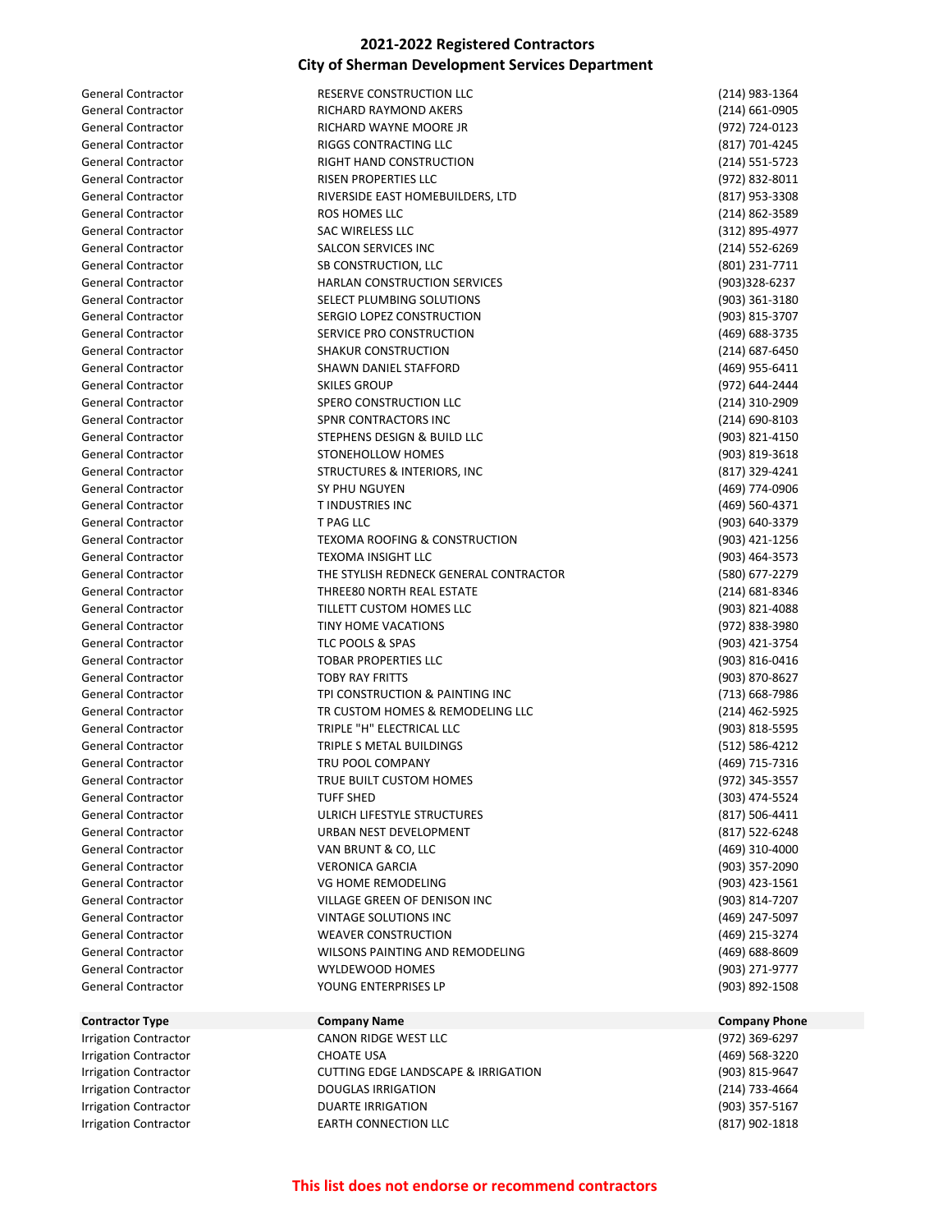| <b>General Contractor</b>                              | RESERVE CONSTRUCTION LLC                                             | (214) 983-1364                   |
|--------------------------------------------------------|----------------------------------------------------------------------|----------------------------------|
| <b>General Contractor</b>                              | RICHARD RAYMOND AKERS                                                | (214) 661-0905                   |
| <b>General Contractor</b>                              | RICHARD WAYNE MOORE JR                                               | (972) 724-0123                   |
| <b>General Contractor</b>                              | RIGGS CONTRACTING LLC                                                | (817) 701-4245                   |
| <b>General Contractor</b>                              | RIGHT HAND CONSTRUCTION                                              | (214) 551-5723                   |
| <b>General Contractor</b>                              | <b>RISEN PROPERTIES LLC</b>                                          | (972) 832-8011                   |
| <b>General Contractor</b>                              | RIVERSIDE EAST HOMEBUILDERS, LTD                                     | (817) 953-3308                   |
| <b>General Contractor</b>                              | ROS HOMES LLC                                                        | (214) 862-3589                   |
| <b>General Contractor</b>                              | SAC WIRELESS LLC                                                     | (312) 895-4977                   |
| <b>General Contractor</b>                              | <b>SALCON SERVICES INC</b>                                           | (214) 552-6269                   |
| <b>General Contractor</b>                              | SB CONSTRUCTION, LLC                                                 | (801) 231-7711                   |
| <b>General Contractor</b>                              | <b>HARLAN CONSTRUCTION SERVICES</b>                                  | (903)328-6237                    |
| <b>General Contractor</b>                              | SELECT PLUMBING SOLUTIONS                                            | (903) 361-3180                   |
| <b>General Contractor</b>                              | SERGIO LOPEZ CONSTRUCTION                                            | (903) 815-3707                   |
| <b>General Contractor</b>                              | SERVICE PRO CONSTRUCTION                                             | (469) 688-3735                   |
| <b>General Contractor</b>                              | SHAKUR CONSTRUCTION                                                  | (214) 687-6450                   |
| <b>General Contractor</b>                              | SHAWN DANIEL STAFFORD                                                | (469) 955-6411                   |
| <b>General Contractor</b>                              | <b>SKILES GROUP</b>                                                  | (972) 644-2444                   |
| <b>General Contractor</b>                              | SPERO CONSTRUCTION LLC                                               | (214) 310-2909                   |
| <b>General Contractor</b>                              | SPNR CONTRACTORS INC                                                 | (214) 690-8103                   |
| <b>General Contractor</b>                              | STEPHENS DESIGN & BUILD LLC                                          | (903) 821-4150                   |
| <b>General Contractor</b>                              | STONEHOLLOW HOMES                                                    | (903) 819-3618                   |
| <b>General Contractor</b>                              | STRUCTURES & INTERIORS, INC                                          | (817) 329-4241                   |
| <b>General Contractor</b>                              | <b>SY PHU NGUYEN</b>                                                 | (469) 774-0906                   |
| <b>General Contractor</b>                              | <b>TINDUSTRIES INC</b>                                               | (469) 560-4371                   |
| <b>General Contractor</b>                              | T PAG LLC                                                            | (903) 640-3379                   |
| <b>General Contractor</b>                              | <b>TEXOMA ROOFING &amp; CONSTRUCTION</b>                             | (903) 421-1256                   |
| <b>General Contractor</b>                              | TEXOMA INSIGHT LLC                                                   | (903) 464-3573                   |
| <b>General Contractor</b>                              | THE STYLISH REDNECK GENERAL CONTRACTOR                               | (580) 677-2279                   |
| <b>General Contractor</b>                              | THREE80 NORTH REAL ESTATE                                            | (214) 681-8346                   |
| <b>General Contractor</b>                              | TILLETT CUSTOM HOMES LLC                                             | (903) 821-4088                   |
| <b>General Contractor</b>                              | TINY HOME VACATIONS                                                  | (972) 838-3980                   |
| <b>General Contractor</b>                              | TLC POOLS & SPAS                                                     | (903) 421-3754                   |
| <b>General Contractor</b>                              | <b>TOBAR PROPERTIES LLC</b>                                          | (903) 816-0416                   |
| <b>General Contractor</b>                              | <b>TOBY RAY FRITTS</b>                                               | (903) 870-8627                   |
| <b>General Contractor</b>                              | TPI CONSTRUCTION & PAINTING INC                                      | (713) 668-7986                   |
| <b>General Contractor</b>                              | TR CUSTOM HOMES & REMODELING LLC                                     | (214) 462-5925                   |
| <b>General Contractor</b>                              | TRIPLE "H" ELECTRICAL LLC                                            | (903) 818-5595                   |
| <b>General Contractor</b>                              | TRIPLE S METAL BUILDINGS                                             | (512) 586-4212                   |
| <b>General Contractor</b>                              | TRU POOL COMPANY                                                     | (469) 715-7316                   |
| General Contractor                                     | TRUE BUILT CUSTOM HOMES                                              | (972) 345-3557                   |
| General Contractor                                     | <b>TUFF SHED</b>                                                     | (303) 474-5524                   |
| General Contractor                                     | ULRICH LIFESTYLE STRUCTURES                                          | $(817) 506 - 4411$               |
| <b>General Contractor</b>                              | URBAN NEST DEVELOPMENT                                               | (817) 522-6248                   |
| <b>General Contractor</b>                              | VAN BRUNT & CO, LLC                                                  | (469) 310-4000                   |
| <b>General Contractor</b>                              | <b>VERONICA GARCIA</b>                                               | (903) 357-2090                   |
| <b>General Contractor</b>                              | VG HOME REMODELING                                                   | (903) 423-1561                   |
| <b>General Contractor</b>                              | VILLAGE GREEN OF DENISON INC                                         | (903) 814-7207                   |
| <b>General Contractor</b>                              | VINTAGE SOLUTIONS INC                                                | (469) 247-5097                   |
| <b>General Contractor</b>                              | <b>WEAVER CONSTRUCTION</b><br><b>WILSONS PAINTING AND REMODELING</b> | (469) 215-3274                   |
| <b>General Contractor</b><br><b>General Contractor</b> | WYLDEWOOD HOMES                                                      | (469) 688-8609<br>(903) 271-9777 |
| <b>General Contractor</b>                              | YOUNG ENTERPRISES LP                                                 | (903) 892-1508                   |
|                                                        |                                                                      |                                  |
| <b>Contractor Type</b>                                 | <b>Company Name</b>                                                  | <b>Company Phone</b>             |
| <b>Irrigation Contractor</b>                           | CANON RIDGE WEST LLC                                                 | (972) 369-6297                   |
| <b>Irrigation Contractor</b>                           | <b>CHOATE USA</b>                                                    | (469) 568-3220                   |
|                                                        |                                                                      |                                  |

Irrigation Contractor CUTTING EDGE LANDSCAPE & IRRIGATION (903) 815-9647 Irrigation Contractor DOUGLAS IRRIGATION (214) 733-4664 Irrigation Contractor DUARTE IRRIGATION (903) 357-5167 Irrigation Contractor EARTH CONNECTION LLC (817) 902-1818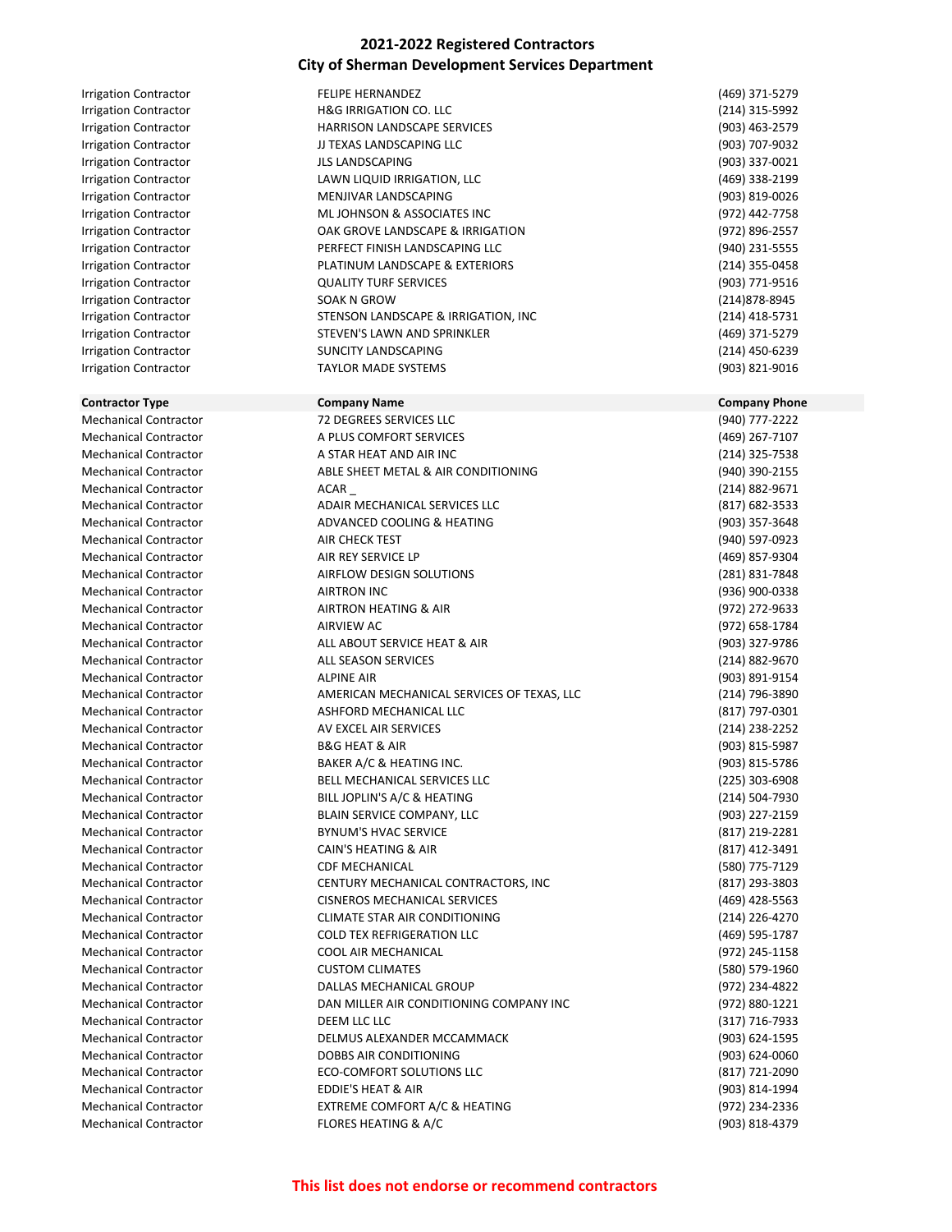| <b>Irrigation Contractor</b> | <b>FELIPE HERNANDEZ</b>                    | (469) 371-5279       |
|------------------------------|--------------------------------------------|----------------------|
| <b>Irrigation Contractor</b> | <b>H&amp;G IRRIGATION CO. LLC</b>          | (214) 315-5992       |
| <b>Irrigation Contractor</b> | HARRISON LANDSCAPE SERVICES                | (903) 463-2579       |
| <b>Irrigation Contractor</b> | JJ TEXAS LANDSCAPING LLC                   | (903) 707-9032       |
| <b>Irrigation Contractor</b> | <b>JLS LANDSCAPING</b>                     | (903) 337-0021       |
| <b>Irrigation Contractor</b> | LAWN LIQUID IRRIGATION, LLC                | (469) 338-2199       |
| <b>Irrigation Contractor</b> | MENJIVAR LANDSCAPING                       | (903) 819-0026       |
| <b>Irrigation Contractor</b> | ML JOHNSON & ASSOCIATES INC                | (972) 442-7758       |
| <b>Irrigation Contractor</b> | OAK GROVE LANDSCAPE & IRRIGATION           | (972) 896-2557       |
| <b>Irrigation Contractor</b> | PERFECT FINISH LANDSCAPING LLC             | (940) 231-5555       |
| <b>Irrigation Contractor</b> | PLATINUM LANDSCAPE & EXTERIORS             | (214) 355-0458       |
| <b>Irrigation Contractor</b> | <b>QUALITY TURF SERVICES</b>               | (903) 771-9516       |
| <b>Irrigation Contractor</b> | SOAK N GROW                                | (214) 878-8945       |
| <b>Irrigation Contractor</b> | STENSON LANDSCAPE & IRRIGATION, INC        | $(214)$ 418-5731     |
| <b>Irrigation Contractor</b> | STEVEN'S LAWN AND SPRINKLER                | (469) 371-5279       |
|                              | <b>SUNCITY LANDSCAPING</b>                 | (214) 450-6239       |
| <b>Irrigation Contractor</b> |                                            |                      |
| <b>Irrigation Contractor</b> | <b>TAYLOR MADE SYSTEMS</b>                 | (903) 821-9016       |
| <b>Contractor Type</b>       | <b>Company Name</b>                        | <b>Company Phone</b> |
| <b>Mechanical Contractor</b> | <b>72 DEGREES SERVICES LLC</b>             | (940) 777-2222       |
| <b>Mechanical Contractor</b> | A PLUS COMFORT SERVICES                    | (469) 267-7107       |
| <b>Mechanical Contractor</b> | A STAR HEAT AND AIR INC                    | (214) 325-7538       |
| <b>Mechanical Contractor</b> | ABLE SHEET METAL & AIR CONDITIONING        | (940) 390-2155       |
| <b>Mechanical Contractor</b> | ACAR                                       | (214) 882-9671       |
| <b>Mechanical Contractor</b> | ADAIR MECHANICAL SERVICES LLC              | (817) 682-3533       |
| <b>Mechanical Contractor</b> | ADVANCED COOLING & HEATING                 | (903) 357-3648       |
| <b>Mechanical Contractor</b> | AIR CHECK TEST                             | (940) 597-0923       |
| <b>Mechanical Contractor</b> | AIR REY SERVICE LP                         | (469) 857-9304       |
| <b>Mechanical Contractor</b> | AIRFLOW DESIGN SOLUTIONS                   | (281) 831-7848       |
| <b>Mechanical Contractor</b> | <b>AIRTRON INC</b>                         | (936) 900-0338       |
| <b>Mechanical Contractor</b> | AIRTRON HEATING & AIR                      | (972) 272-9633       |
| <b>Mechanical Contractor</b> | AIRVIEW AC                                 | (972) 658-1784       |
| <b>Mechanical Contractor</b> | ALL ABOUT SERVICE HEAT & AIR               |                      |
|                              |                                            | (903) 327-9786       |
| <b>Mechanical Contractor</b> | ALL SEASON SERVICES                        | (214) 882-9670       |
| <b>Mechanical Contractor</b> | <b>ALPINE AIR</b>                          | (903) 891-9154       |
| <b>Mechanical Contractor</b> | AMERICAN MECHANICAL SERVICES OF TEXAS, LLC | (214) 796-3890       |
| <b>Mechanical Contractor</b> | ASHFORD MECHANICAL LLC                     | (817) 797-0301       |
| <b>Mechanical Contractor</b> | AV EXCEL AIR SERVICES                      | (214) 238-2252       |
| <b>Mechanical Contractor</b> | <b>B&amp;G HEAT &amp; AIR</b>              | (903) 815-5987       |
| <b>Mechanical Contractor</b> | BAKER A/C & HEATING INC.                   | (903) 815-5786       |
| Mechanical Contractor        | BELL MECHANICAL SERVICES LLC               | (225) 303-6908       |
| <b>Mechanical Contractor</b> | BILL JOPLIN'S A/C & HEATING                | (214) 504-7930       |
| <b>Mechanical Contractor</b> | BLAIN SERVICE COMPANY, LLC                 | (903) 227-2159       |
| <b>Mechanical Contractor</b> | <b>BYNUM'S HVAC SERVICE</b>                | (817) 219-2281       |
| <b>Mechanical Contractor</b> | CAIN'S HEATING & AIR                       | (817) 412-3491       |
| <b>Mechanical Contractor</b> | <b>CDF MECHANICAL</b>                      | (580) 775-7129       |
| <b>Mechanical Contractor</b> | CENTURY MECHANICAL CONTRACTORS, INC        | (817) 293-3803       |
| <b>Mechanical Contractor</b> | <b>CISNEROS MECHANICAL SERVICES</b>        | (469) 428-5563       |
| <b>Mechanical Contractor</b> | <b>CLIMATE STAR AIR CONDITIONING</b>       | (214) 226-4270       |
| <b>Mechanical Contractor</b> | COLD TEX REFRIGERATION LLC                 | (469) 595-1787       |
| <b>Mechanical Contractor</b> | COOL AIR MECHANICAL                        | (972) 245-1158       |
| <b>Mechanical Contractor</b> | <b>CUSTOM CLIMATES</b>                     | (580) 579-1960       |
| <b>Mechanical Contractor</b> | DALLAS MECHANICAL GROUP                    | (972) 234-4822       |
| <b>Mechanical Contractor</b> | DAN MILLER AIR CONDITIONING COMPANY INC    | (972) 880-1221       |
| <b>Mechanical Contractor</b> | DEEM LLC LLC                               | (317) 716-7933       |
| <b>Mechanical Contractor</b> | DELMUS ALEXANDER MCCAMMACK                 | (903) 624-1595       |
| <b>Mechanical Contractor</b> | DOBBS AIR CONDITIONING                     | (903) 624-0060       |
| <b>Mechanical Contractor</b> | ECO-COMFORT SOLUTIONS LLC                  | (817) 721-2090       |
| <b>Mechanical Contractor</b> | EDDIE'S HEAT & AIR                         | (903) 814-1994       |
| <b>Mechanical Contractor</b> | EXTREME COMFORT A/C & HEATING              | (972) 234-2336       |
| <b>Mechanical Contractor</b> | FLORES HEATING & A/C                       | (903) 818-4379       |
|                              |                                            |                      |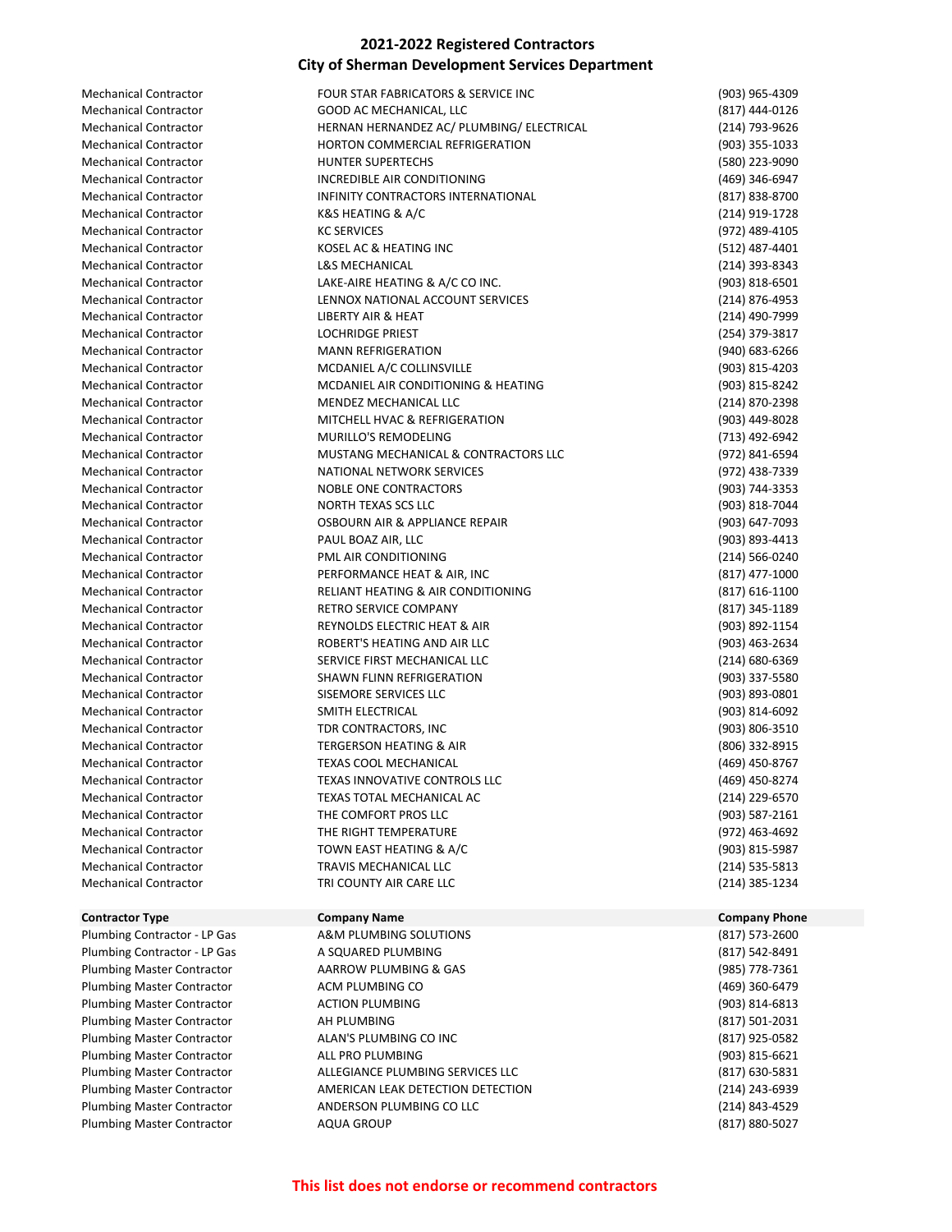| <b>Mechanical Contractor</b> |
|------------------------------|
| Mechanical Contractor        |
| <b>Mechanical Contractor</b> |
| Mechanical Contractor        |
| Mechanical Contractor        |
| <b>Mechanical Contractor</b> |
| Mechanical Contractor        |
| Mechanical Contractor        |
| Mechanical Contractor        |
| Mechanical Contractor        |
| <b>Mechanical Contractor</b> |
| <b>Mechanical Contractor</b> |
| <b>Mechanical Contractor</b> |
| Mechanical Contractor        |
| Mechanical Contractor        |
| <b>Mechanical Contractor</b> |
| <b>Mechanical Contractor</b> |
| <b>Mechanical Contractor</b> |
| <b>Mechanical Contractor</b> |
| Mechanical Contractor        |
| Mechanical Contractor        |
| Mechanical Contractor        |
| <b>Mechanical Contractor</b> |
| <b>Mechanical Contractor</b> |
| Mechanical Contractor        |
| <b>Mechanical Contractor</b> |
| Mechanical Contractor        |
| <b>Mechanical Contractor</b> |
| Mechanical Contractor        |
| <b>Mechanical Contractor</b> |
| <b>Mechanical Contractor</b> |
| <b>Mechanical Contractor</b> |
| <b>Mechanical Contractor</b> |
| Mechanical Contractor        |
| <b>Mechanical Contractor</b> |
| <b>Mechanical Contractor</b> |
| <b>Mechanical Contractor</b> |
| <b>Mechanical Contractor</b> |
| Mechanical Contractor        |
| <b>Mechanical Contractor</b> |
| Mechanical Contractor        |
| Mechanical Contractor        |
| Mechanical Contractor        |
| Mechanical Contractor        |
| <b>Mechanical Contractor</b> |
| Mechanical Contractor        |
| <b>Mechanical Contractor</b> |
|                              |

#### **Contractor Type Company Name Company Phone**

Plumbing Master Contractor AQUA GROUP (817) 880-5027

| Mechanical Contractor        | FOUR STAR FABRICATORS & SERVICE INC       | (903) 965-4309   |
|------------------------------|-------------------------------------------|------------------|
| Mechanical Contractor        | GOOD AC MECHANICAL, LLC                   | (817) 444-0126   |
| <b>Mechanical Contractor</b> | HERNAN HERNANDEZ AC/ PLUMBING/ ELECTRICAL | (214) 793-9626   |
| Mechanical Contractor        | HORTON COMMERCIAL REFRIGERATION           | (903) 355-1033   |
| Mechanical Contractor        | <b>HUNTER SUPERTECHS</b>                  | (580) 223-9090   |
| <b>Mechanical Contractor</b> | INCREDIBLE AIR CONDITIONING               | (469) 346-6947   |
| Mechanical Contractor        | INFINITY CONTRACTORS INTERNATIONAL        | (817) 838-8700   |
| <b>Mechanical Contractor</b> | <b>K&amp;S HEATING &amp; A/C</b>          | (214) 919-1728   |
| <b>Mechanical Contractor</b> | <b>KC SERVICES</b>                        | (972) 489-4105   |
| <b>Mechanical Contractor</b> | KOSEL AC & HEATING INC                    | (512) 487-4401   |
| <b>Mechanical Contractor</b> | <b>L&amp;S MECHANICAL</b>                 | (214) 393-8343   |
| <b>Mechanical Contractor</b> | LAKE-AIRE HEATING & A/C CO INC.           | (903) 818-6501   |
| <b>Mechanical Contractor</b> | LENNOX NATIONAL ACCOUNT SERVICES          | (214) 876-4953   |
| <b>Mechanical Contractor</b> | LIBERTY AIR & HEAT                        | (214) 490-7999   |
| <b>Mechanical Contractor</b> | <b>LOCHRIDGE PRIEST</b>                   | (254) 379-3817   |
| <b>Mechanical Contractor</b> | <b>MANN REFRIGERATION</b>                 | (940) 683-6266   |
| <b>Mechanical Contractor</b> | MCDANIEL A/C COLLINSVILLE                 | (903) 815-4203   |
| <b>Mechanical Contractor</b> | MCDANIEL AIR CONDITIONING & HEATING       | (903) 815-8242   |
| <b>Mechanical Contractor</b> | MENDEZ MECHANICAL LLC                     | (214) 870-2398   |
| <b>Mechanical Contractor</b> | MITCHELL HVAC & REFRIGERATION             | (903) 449-8028   |
| Mechanical Contractor        | MURILLO'S REMODELING                      | (713) 492-6942   |
| <b>Mechanical Contractor</b> | MUSTANG MECHANICAL & CONTRACTORS LLC      | (972) 841-6594   |
| <b>Mechanical Contractor</b> | NATIONAL NETWORK SERVICES                 | (972) 438-7339   |
| <b>Mechanical Contractor</b> | NOBLE ONE CONTRACTORS                     | (903) 744-3353   |
| <b>Mechanical Contractor</b> | NORTH TEXAS SCS LLC                       | (903) 818-7044   |
| <b>Mechanical Contractor</b> | OSBOURN AIR & APPLIANCE REPAIR            | (903) 647-7093   |
| <b>Mechanical Contractor</b> | PAUL BOAZ AIR, LLC                        | (903) 893-4413   |
| <b>Mechanical Contractor</b> | PML AIR CONDITIONING                      | (214) 566-0240   |
| Mechanical Contractor        | PERFORMANCE HEAT & AIR, INC               | (817) 477-1000   |
| <b>Mechanical Contractor</b> | RELIANT HEATING & AIR CONDITIONING        | $(817)$ 616-1100 |
| <b>Mechanical Contractor</b> | RETRO SERVICE COMPANY                     | (817) 345-1189   |
| Mechanical Contractor        | REYNOLDS ELECTRIC HEAT & AIR              | (903) 892-1154   |
| <b>Mechanical Contractor</b> | ROBERT'S HEATING AND AIR LLC              | (903) 463-2634   |
| <b>Mechanical Contractor</b> | SERVICE FIRST MECHANICAL LLC              | (214) 680-6369   |
| <b>Mechanical Contractor</b> | SHAWN FLINN REFRIGERATION                 | (903) 337-5580   |
| <b>Mechanical Contractor</b> | SISEMORE SERVICES LLC                     | (903) 893-0801   |
| <b>Mechanical Contractor</b> | SMITH ELECTRICAL                          | (903) 814-6092   |
| Mechanical Contractor        | TDR CONTRACTORS, INC                      | (903) 806-3510   |
| <b>Mechanical Contractor</b> | <b>TERGERSON HEATING &amp; AIR</b>        | (806) 332-8915   |
| <b>Mechanical Contractor</b> | <b>TEXAS COOL MECHANICAL</b>              | (469) 450-8767   |
| <b>Mechanical Contractor</b> | TEXAS INNOVATIVE CONTROLS LLC             | (469) 450-8274   |
| <b>Mechanical Contractor</b> | TEXAS TOTAL MECHANICAL AC                 | (214) 229-6570   |
| <b>Mechanical Contractor</b> | THE COMFORT PROS LLC                      | (903) 587-2161   |
| <b>Mechanical Contractor</b> | THE RIGHT TEMPERATURE                     | (972) 463-4692   |
| <b>Mechanical Contractor</b> | TOWN EAST HEATING & A/C                   | (903) 815-5987   |
| <b>Mechanical Contractor</b> | TRAVIS MECHANICAL LLC                     | (214) 535-5813   |
| <b>Mechanical Contractor</b> | TRI COUNTY AIR CARE LLC                   | (214) 385-1234   |
|                              |                                           |                  |

#### Plumbing Contractor - LP Gas A&M PLUMBING SOLUTIONS (817) 573-2600 Plumbing Contractor - LP Gas A SQUARED PLUMBING (817) 542-8491 Plumbing Master Contractor **AARROW PLUMBING & GAS** (985) 778-7361 Plumbing Master Contractor **ACM PLUMBING CO ACM PLUMBING CO** (469) 360-6479 Plumbing Master Contractor **ACTION PLUMBING ACTION PLUMBING** (903) 814-6813 Plumbing Master Contractor AH PLUMBING (817) 501-2031 Plumbing Master Contractor ALAN'S PLUMBING CO INC (817) 925-0582 Plumbing Master Contractor **ALL PRO PLUMBING ALL PRO PLUMBING** (903) 815-6621 Plumbing Master Contractor ALLEGIANCE PLUMBING SERVICES LLC (817) 630-5831 Plumbing Master Contractor **AMERICAN LEAK DETECTION DETECTION CONTRACT 1243-6939** (214) 243-6939 Plumbing Master Contractor **ANDERSON PLUMBING CO LLC** (214) 843-4529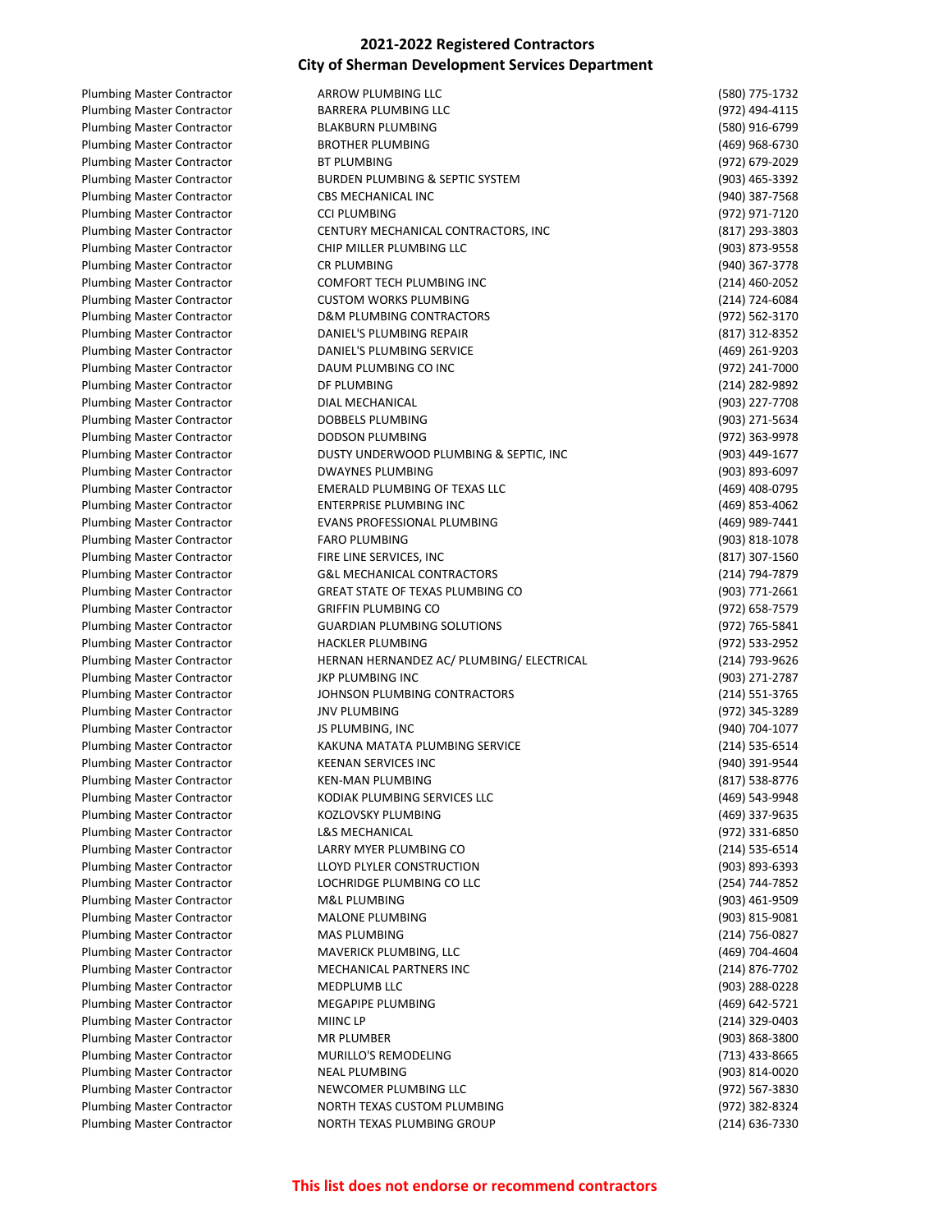| <b>Plumbing Master Contractor</b> | ARROW PLUMBING LLC                         | (580) 775-1732 |
|-----------------------------------|--------------------------------------------|----------------|
| <b>Plumbing Master Contractor</b> | BARRERA PLUMBING LLC                       | (972) 494-4115 |
| <b>Plumbing Master Contractor</b> | <b>BLAKBURN PLUMBING</b>                   | (580) 916-6799 |
| <b>Plumbing Master Contractor</b> | <b>BROTHER PLUMBING</b>                    | (469) 968-6730 |
| <b>Plumbing Master Contractor</b> | BT PLUMBING                                | (972) 679-2029 |
| <b>Plumbing Master Contractor</b> | <b>BURDEN PLUMBING &amp; SEPTIC SYSTEM</b> | (903) 465-3392 |
| <b>Plumbing Master Contractor</b> | <b>CBS MECHANICAL INC</b>                  | (940) 387-7568 |
| <b>Plumbing Master Contractor</b> | <b>CCI PLUMBING</b>                        | (972) 971-7120 |
| <b>Plumbing Master Contractor</b> | CENTURY MECHANICAL CONTRACTORS, INC        | (817) 293-3803 |
| <b>Plumbing Master Contractor</b> | CHIP MILLER PLUMBING LLC                   | (903) 873-9558 |
| <b>Plumbing Master Contractor</b> | <b>CR PLUMBING</b>                         | (940) 367-3778 |
| <b>Plumbing Master Contractor</b> | COMFORT TECH PLUMBING INC                  | (214) 460-2052 |
| <b>Plumbing Master Contractor</b> | <b>CUSTOM WORKS PLUMBING</b>               | (214) 724-6084 |
| <b>Plumbing Master Contractor</b> | D&M PLUMBING CONTRACTORS                   | (972) 562-3170 |
| <b>Plumbing Master Contractor</b> | DANIEL'S PLUMBING REPAIR                   | (817) 312-8352 |
| <b>Plumbing Master Contractor</b> | DANIEL'S PLUMBING SERVICE                  | (469) 261-9203 |
| <b>Plumbing Master Contractor</b> | DAUM PLUMBING CO INC                       | (972) 241-7000 |
| <b>Plumbing Master Contractor</b> | DF PLUMBING                                | (214) 282-9892 |
| <b>Plumbing Master Contractor</b> | DIAL MECHANICAL                            | (903) 227-7708 |
| <b>Plumbing Master Contractor</b> | DOBBELS PLUMBING                           | (903) 271-5634 |
|                                   | <b>DODSON PLUMBING</b>                     |                |
| <b>Plumbing Master Contractor</b> |                                            | (972) 363-9978 |
| <b>Plumbing Master Contractor</b> | DUSTY UNDERWOOD PLUMBING & SEPTIC, INC     | (903) 449-1677 |
| <b>Plumbing Master Contractor</b> | <b>DWAYNES PLUMBING</b>                    | (903) 893-6097 |
| <b>Plumbing Master Contractor</b> | EMERALD PLUMBING OF TEXAS LLC              | (469) 408-0795 |
| <b>Plumbing Master Contractor</b> | ENTERPRISE PLUMBING INC                    | (469) 853-4062 |
| <b>Plumbing Master Contractor</b> | EVANS PROFESSIONAL PLUMBING                | (469) 989-7441 |
| <b>Plumbing Master Contractor</b> | <b>FARO PLUMBING</b>                       | (903) 818-1078 |
| <b>Plumbing Master Contractor</b> | FIRE LINE SERVICES, INC                    | (817) 307-1560 |
| <b>Plumbing Master Contractor</b> | <b>G&amp;L MECHANICAL CONTRACTORS</b>      | (214) 794-7879 |
| <b>Plumbing Master Contractor</b> | GREAT STATE OF TEXAS PLUMBING CO           | (903) 771-2661 |
| <b>Plumbing Master Contractor</b> | <b>GRIFFIN PLUMBING CO</b>                 | (972) 658-7579 |
| <b>Plumbing Master Contractor</b> | <b>GUARDIAN PLUMBING SOLUTIONS</b>         | (972) 765-5841 |
| <b>Plumbing Master Contractor</b> | <b>HACKLER PLUMBING</b>                    | (972) 533-2952 |
| <b>Plumbing Master Contractor</b> | HERNAN HERNANDEZ AC/ PLUMBING/ ELECTRICAL  | (214) 793-9626 |
| <b>Plumbing Master Contractor</b> | JKP PLUMBING INC                           | (903) 271-2787 |
| <b>Plumbing Master Contractor</b> | JOHNSON PLUMBING CONTRACTORS               | (214) 551-3765 |
| <b>Plumbing Master Contractor</b> | <b>JNV PLUMBING</b>                        | (972) 345-3289 |
| <b>Plumbing Master Contractor</b> | JS PLUMBING, INC                           | (940) 704-1077 |
| <b>Plumbing Master Contractor</b> | KAKUNA MATATA PLUMBING SERVICE             | (214) 535-6514 |
| <b>Plumbing Master Contractor</b> | <b>KEENAN SERVICES INC</b>                 | (940) 391-9544 |
| <b>Plumbing Master Contractor</b> | <b>KEN-MAN PLUMBING</b>                    | (817) 538-8776 |
| <b>Plumbing Master Contractor</b> | KODIAK PLUMBING SERVICES LLC               | (469) 543-9948 |
| <b>Plumbing Master Contractor</b> | KOZLOVSKY PLUMBING                         | (469) 337-9635 |
| <b>Plumbing Master Contractor</b> | <b>L&amp;S MECHANICAL</b>                  | (972) 331-6850 |
| <b>Plumbing Master Contractor</b> | LARRY MYER PLUMBING CO                     | (214) 535-6514 |
| <b>Plumbing Master Contractor</b> | LLOYD PLYLER CONSTRUCTION                  | (903) 893-6393 |
| <b>Plumbing Master Contractor</b> | LOCHRIDGE PLUMBING CO LLC                  | (254) 744-7852 |
| <b>Plumbing Master Contractor</b> | M&L PLUMBING                               | (903) 461-9509 |
| <b>Plumbing Master Contractor</b> | <b>MALONE PLUMBING</b>                     | (903) 815-9081 |
| <b>Plumbing Master Contractor</b> | MAS PLUMBING                               | (214) 756-0827 |
| <b>Plumbing Master Contractor</b> | MAVERICK PLUMBING, LLC                     | (469) 704-4604 |
| <b>Plumbing Master Contractor</b> | MECHANICAL PARTNERS INC                    | (214) 876-7702 |
| <b>Plumbing Master Contractor</b> | MEDPLUMB LLC                               | (903) 288-0228 |
| <b>Plumbing Master Contractor</b> | MEGAPIPE PLUMBING                          | (469) 642-5721 |
| <b>Plumbing Master Contractor</b> | MIINC LP                                   | (214) 329-0403 |
| <b>Plumbing Master Contractor</b> | MR PLUMBER                                 | (903) 868-3800 |
| <b>Plumbing Master Contractor</b> | MURILLO'S REMODELING                       | (713) 433-8665 |
| <b>Plumbing Master Contractor</b> | <b>NEAL PLUMBING</b>                       | (903) 814-0020 |
| <b>Plumbing Master Contractor</b> | NEWCOMER PLUMBING LLC                      | (972) 567-3830 |
| <b>Plumbing Master Contractor</b> | NORTH TEXAS CUSTOM PLUMBING                | (972) 382-8324 |
| <b>Plumbing Master Contractor</b> | NORTH TEXAS PLUMBING GROUP                 | (214) 636-7330 |
|                                   |                                            |                |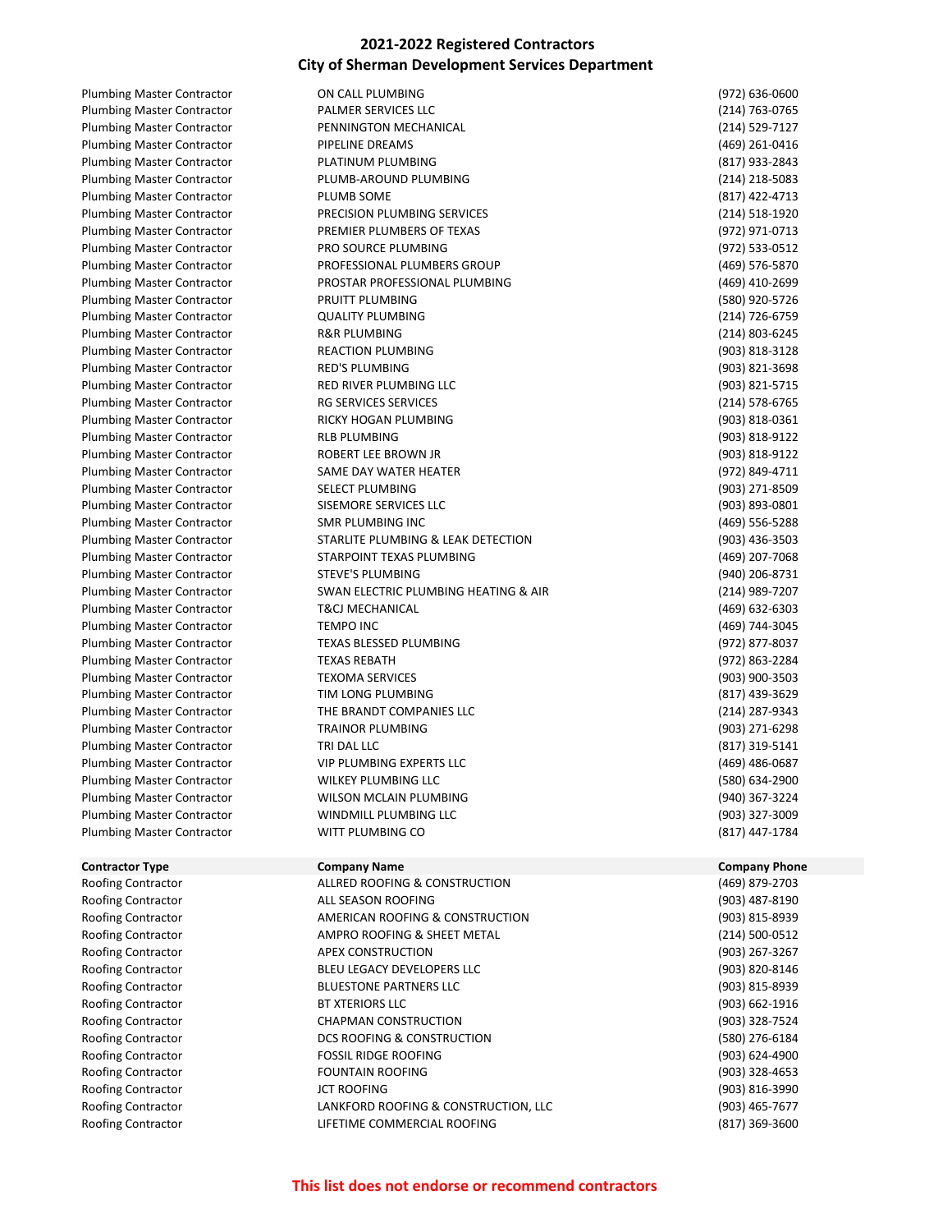Plumbing Master Contractor **ON CALL PLUMBING CONTRACTION** (972) 636-0600

Plumbing Master Contractor **PALMER SERVICES LLC PALMER SERVICES LLC** (214) 763-0765 Plumbing Master Contractor **PENNINGTON MECHANICAL** PHOTOS PENNINGTON MECHANICAL (214) 529-7127 Plumbing Master Contractor **PIPELINE DREAMS** PHOTO 261-0416 Plumbing Master Contractor **PLATINUM PLUMBING** PLOT **PLATINUM PLUMBING** (817) 933-2843 Plumbing Master Contractor **PLUMB-AROUND PLUMBING** PLOMBING (214) 218-5083 Plumbing Master Contractor **PLUMB SOME** PLOT PLOT **PLUMB SOME** (817) 422-4713 Plumbing Master Contractor **PRECISION PLUMBING SERVICES** PLOMBING SERVICES (214) 518-1920 Plumbing Master Contractor **PREMIER PLUMBERS OF TEXAS** (972) 971-0713 Plumbing Master Contractor **PRO SOURCE PLUMBING PRO SOURCE PLUMBING** (972) 533-0512 Plumbing Master Contractor **PROFESSIONAL PLUMBERS GROUP** Promotion and the extendio of the extendio of the PROFESSIONAL PLUMBERS GROUP Plumbing Master Contractor **PROSTAR PROFESSIONAL PLUMBING Professional PLUMBING** (469) 410-2699 Plumbing Master Contractor **PRUITT PLUMBING** PROPERTY ASSESSED ASSESSED FOR A 45 YO 45726 Plumbing Master Contractor QUALITY PLUMBING (214) 726-6759 Plumbing Master Contractor **R&R PLUMBING R&R PLUMBING R** 214) 803-6245 Plumbing Master Contractor **REACTION PLUMBING REACTION PLUMBING** (903) 818-3128 Plumbing Master Contractor **RED'S PLUMBING RED'S PLUMBING** (903) 821-3698 Plumbing Master Contractor **RED RIVER PLUMBING LLC** (903) 821-5715 Plumbing Master Contractor **RG SERVICES SERVICES** SERVICES **RG SERVICES** (214) 578-6765 Plumbing Master Contractor **RICKY HOGAN PLUMBING RIGHT RICKY HOGAN PLUMBING** (903) 818-0361 Plumbing Master Contractor **RLB PLUMBING RUB PLUMBING REGISTER RUBBING REGISTER RUBBING REGISTER RUBBING REGISTER RUBBING REGISTER RUBBING RUBBING RUBBING RUBBING RUBBING RUBBING RUBBING** Plumbing Master Contractor **ROBERT LEE BROWN JR ROBERT LEE BROWN 10 ROBERT 10 ROBERT LEE BROWN JR ROBERT 10 ROBERT 10 ROBERT 10 ROBERT 10 ROBERT 10 ROBERT 10 ROBERT 10 ROBERT 10 ROBERT 10 ROBERT 1** Plumbing Master Contractor SAME DAY WATER HEATER (972) 849-4711 Plumbing Master Contractor SELECT PLUMBING (903) 271-8509 Plumbing Master Contractor SISEMORE SERVICES LLC (903) 893-0801 Plumbing Master Contractor SMR PLUMBING INC (469) 556-5288 Plumbing Master Contractor STARLITE PLUMBING & LEAK DETECTION (903) 436-3503 Plumbing Master Contractor STARPOINT TEXAS PLUMBING (469) 207-7068 Plumbing Master Contractor STEVE'S PLUMBING TERMING (940) 206-8731 Plumbing Master Contractor SWAN ELECTRIC PLUMBING HEATING & AIR (214) 989-7207 Plumbing Master Contractor T&CJ MECHANICAL (469) 632-6303 Plumbing Master Contractor TEMPO INC **TEMPO INC TEMPO INC 1998** THE CONTROLLY **1469** THE CONTROLLY **TEMPO INC** Plumbing Master Contractor TEXAS BLESSED PLUMBING THE SAME CONTROLLERGY (972) 877-8037 Plumbing Master Contractor **TEXAS REBATH** (972) 863-2284 Plumbing Master Contractor TEXOMA SERVICES (903) 900-3503 Plumbing Master Contractor TIM LONG PLUMBING (817) 439-3629 Plumbing Master Contractor THE BRANDT COMPANIES LLC (214) 287-9343 Plumbing Master Contractor TRAINOR PLUMBING (903) 271-6298 Plumbing Master Contractor TRI DAL LLC (817) 319-5141 Plumbing Master Contractor **CONTERTS IS A VIP PLUMBING EXPERTS LLC CONTERTS IS A VIOLAT A VIOLAT A VIOLAT A VIOLAT A VIOLAT A VIOLAT A VIOLAT A VIOLAT A VIOLAT A VIOLAT A VIOLAT A VIOLAT A VIOLAT A VIOLAT A VIOLAT A VIOL** Plumbing Master Contractor WILKEY PLUMBING LLC (580) 634-2900 Plumbing Master Contractor WILSON MCLAIN PLUMBING (940) 367-3224 Plumbing Master Contractor **MINDMILL PLUMBING LLC CONTRACTER (903) 327-3009 (903)** 327-3009 Plumbing Master Contractor WITT PLUMBING CO (817) 447-1784

| <b>Plumbing Master Contractor</b> | <b>T&amp;CJ MECHANICAL</b>            | (469) 632-6303       |
|-----------------------------------|---------------------------------------|----------------------|
| <b>Plumbing Master Contractor</b> | <b>TEMPO INC</b>                      | (469) 744-3045       |
| <b>Plumbing Master Contractor</b> | <b>TEXAS BLESSED PLUMBING</b>         | (972) 877-8037       |
| <b>Plumbing Master Contractor</b> | <b>TEXAS REBATH</b>                   | (972) 863-2284       |
| <b>Plumbing Master Contractor</b> | <b>TEXOMA SERVICES</b>                | (903) 900-3503       |
| <b>Plumbing Master Contractor</b> | TIM LONG PLUMBING                     | (817) 439-3629       |
| <b>Plumbing Master Contractor</b> | THE BRANDT COMPANIES LLC              | (214) 287-9343       |
| <b>Plumbing Master Contractor</b> | <b>TRAINOR PLUMBING</b>               | (903) 271-6298       |
| <b>Plumbing Master Contractor</b> | TRI DAL LLC                           | (817) 319-5141       |
| <b>Plumbing Master Contractor</b> | <b>VIP PLUMBING EXPERTS LLC</b>       | (469) 486-0687       |
| Plumbing Master Contractor        | <b>WILKEY PLUMBING LLC</b>            | (580) 634-2900       |
| Plumbing Master Contractor        | <b>WILSON MCLAIN PLUMBING</b>         | (940) 367-3224       |
| <b>Plumbing Master Contractor</b> | WINDMILL PLUMBING LLC                 | (903) 327-3009       |
| <b>Plumbing Master Contractor</b> | WITT PLUMBING CO                      | (817) 447-1784       |
| <b>Contractor Type</b>            | <b>Company Name</b>                   | <b>Company Phone</b> |
| Roofing Contractor                | ALLRED ROOFING & CONSTRUCTION         | (469) 879-2703       |
| Roofing Contractor                | ALL SEASON ROOFING                    | (903) 487-8190       |
| Roofing Contractor                | AMERICAN ROOFING & CONSTRUCTION       | (903) 815-8939       |
| Roofing Contractor                | AMPRO ROOFING & SHEET METAL           | (214) 500-0512       |
| Roofing Contractor                | <b>APEX CONSTRUCTION</b>              | (903) 267-3267       |
| Roofing Contractor                | BLEU LEGACY DEVELOPERS LLC            | (903) 820-8146       |
| Roofing Contractor                | <b>BLUESTONE PARTNERS LLC</b>         | (903) 815-8939       |
| Roofing Contractor                | <b>BT XTERIORS LLC</b>                | (903) 662-1916       |
| Roofing Contractor                | <b>CHAPMAN CONSTRUCTION</b>           | (903) 328-7524       |
| Roofing Contractor                | <b>DCS ROOFING &amp; CONSTRUCTION</b> | (580) 276-6184       |
| Roofing Contractor                | <b>FOSSIL RIDGE ROOFING</b>           | (903) 624-4900       |
| Roofing Contractor                | <b>FOUNTAIN ROOFING</b>               | (903) 328-4653       |
| Roofing Contractor                | <b>JCT ROOFING</b>                    | (903) 816-3990       |
| Roofing Contractor                | LANKFORD ROOFING & CONSTRUCTION, LLC  | (903) 465-7677       |
| Roofing Contractor                | LIFETIME COMMERCIAL ROOFING           | (817) 369-3600       |
|                                   |                                       |                      |